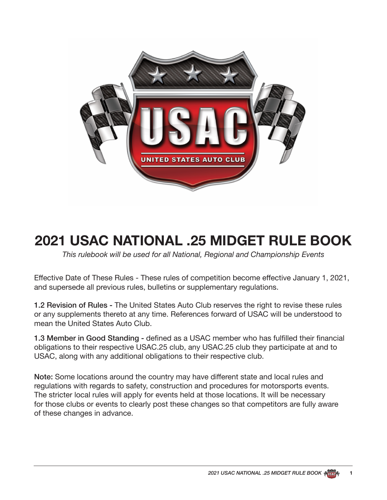

# **2021 USAC NATIONAL .25 MIDGET RULE BOOK**

*This rulebook will be used for all National, Regional and Championship Events*

Effective Date of These Rules - These rules of competition become effective January 1, 2021, and supersede all previous rules, bulletins or supplementary regulations.

1.2 Revision of Rules - The United States Auto Club reserves the right to revise these rules or any supplements thereto at any time. References forward of USAC will be understood to mean the United States Auto Club.

1.3 Member in Good Standing - defined as a USAC member who has fulfilled their financial obligations to their respective USAC.25 club, any USAC.25 club they participate at and to USAC, along with any additional obligations to their respective club.

Note: Some locations around the country may have different state and local rules and regulations with regards to safety, construction and procedures for motorsports events. The stricter local rules will apply for events held at those locations. It will be necessary for those clubs or events to clearly post these changes so that competitors are fully aware of these changes in advance.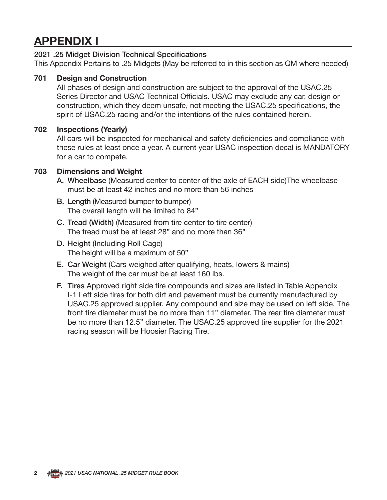## **APPENDIX I**

### 2021 .25 Midget Division Technical Specifications

This Appendix Pertains to .25 Midgets (May be referred to in this section as QM where needed)

### **701 Design and Construction**

All phases of design and construction are subject to the approval of the USAC.25 Series Director and USAC Technical Officials. USAC may exclude any car, design or construction, which they deem unsafe, not meeting the USAC.25 specifications, the spirit of USAC.25 racing and/or the intentions of the rules contained herein.

### **702 Inspections (Yearly)**

All cars will be inspected for mechanical and safety deficiencies and compliance with these rules at least once a year. A current year USAC inspection decal is MANDATORY for a car to compete.

### **703 Dimensions and Weight**

- A. Wheelbase (Measured center to center of the axle of EACH side)The wheelbase must be at least 42 inches and no more than 56 inches
- B. Length (Measured bumper to bumper) The overall length will be limited to 84"
- C. Tread (Width) (Measured from tire center to tire center) The tread must be at least 28" and no more than 36"
- D. Height (Including Roll Cage) The height will be a maximum of 50"
- E. Car Weight (Cars weighed after qualifying, heats, lowers & mains) The weight of the car must be at least 160 lbs.
- F. Tires Approved right side tire compounds and sizes are listed in Table Appendix I-1 Left side tires for both dirt and pavement must be currently manufactured by USAC.25 approved supplier. Any compound and size may be used on left side. The front tire diameter must be no more than 11" diameter. The rear tire diameter must be no more than 12.5" diameter. The USAC.25 approved tire supplier for the 2021 racing season will be Hoosier Racing Tire.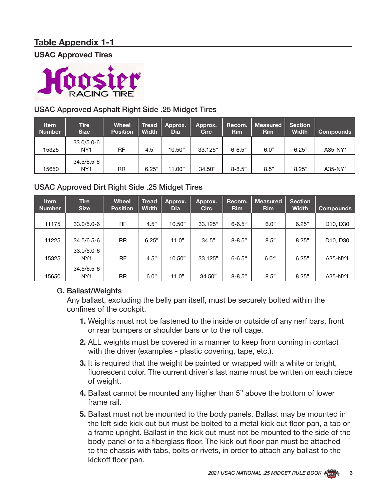### **Table Appendix 1-1**

**USAC Approved Tires**



### USAC Approved Asphalt Right Side .25 Midget Tires

| <b>Item</b><br><b>Number</b> | <b>Tire</b><br><b>Size</b>    | <b>Wheel</b><br><b>Position</b> | <b>Tread</b><br><b>Width</b> | Approx.<br>Dia | Approx.<br><b>Circ</b> | Recom.<br><b>Rim</b> | Measured<br><b>Rim</b> | <b>Section</b><br><b>Width</b> | <b>Compounds</b> |
|------------------------------|-------------------------------|---------------------------------|------------------------------|----------------|------------------------|----------------------|------------------------|--------------------------------|------------------|
| 15325                        | 33.0/5.0-6<br>NY <sub>1</sub> | RF                              | 4.5"                         | 10.50"         | 33.125"                | $6 - 6.5$ "          | 6.0"                   | 6.25"                          | A35-NY1          |
| 15650                        | 34.5/6.5-6<br>NY <sub>1</sub> | RR                              | 6.25"                        | 11.00"         | 34.50"                 | $8 - 8.5"$           | 8.5"                   | 8.25"                          | A35-NY1          |

### USAC Approved Dirt Right Side .25 Midget Tires

| <b>Item</b><br><b>Number</b> | <b>Tire</b><br><b>Size</b>        | <b>Wheel</b><br><b>Position</b> | Tread<br><b>Width</b> | Approx.<br><b>Dia</b> | Approx.<br><b>Circ</b> | Recom.<br><b>Rim</b> | <b>Measured</b><br><b>Rim</b> | <b>Section</b><br><b>Width</b> | <b>Compounds</b>                  |
|------------------------------|-----------------------------------|---------------------------------|-----------------------|-----------------------|------------------------|----------------------|-------------------------------|--------------------------------|-----------------------------------|
| 11175                        | $33.0/5.0 - 6$                    | <b>RF</b>                       | 4.5"                  | 10.50"                | 33.125"                | $6 - 6.5$ "          | 6.0"                          | 6.25"                          | D <sub>10</sub> , D <sub>30</sub> |
| 11225                        | 34.5/6.5-6                        | <b>RR</b>                       | 6.25"                 | 11.0"                 | 34.5"                  | $8 - 8.5"$           | 8.5"                          | 8.25"                          | D <sub>10</sub> , D <sub>30</sub> |
| 15325                        | $33.0/5.0 - 6$<br>NY <sub>1</sub> | <b>RF</b>                       | 4.5"                  | 10.50"                | 33.125"                | $6 - 6.5$ "          | $6.0:$ "                      | 6.25"                          | A35-NY1                           |
| 15650                        | 34.5/6.5-6<br>NY <sub>1</sub>     | RR                              | 6.0"                  | 11.0"                 | 34.50"                 | $8 - 8.5"$           | 8.5"                          | 8.25"                          | A35-NY1                           |

### G. Ballast/Weights

Any ballast, excluding the belly pan itself, must be securely bolted within the confines of the cockpit.

- **1.** Weights must not be fastened to the inside or outside of any nerf bars, front or rear bumpers or shoulder bars or to the roll cage.
- **2.** ALL weights must be covered in a manner to keep from coming in contact with the driver (examples - plastic covering, tape, etc.).
- **3.** It is required that the weight be painted or wrapped with a white or bright, fluorescent color. The current driver's last name must be written on each piece of weight.
- **4.** Ballast cannot be mounted any higher than 5" above the bottom of lower frame rail.
- **5.** Ballast must not be mounted to the body panels. Ballast may be mounted in the left side kick out but must be bolted to a metal kick out floor pan, a tab or a frame upright. Ballast in the kick out must not be mounted to the side of the body panel or to a fiberglass floor. The kick out floor pan must be attached to the chassis with tabs, bolts or rivets, in order to attach any ballast to the kickoff floor pan.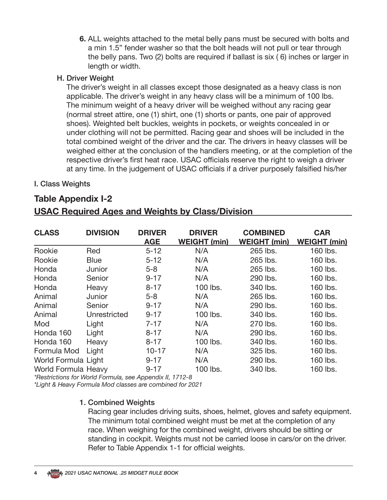**6.** ALL weights attached to the metal belly pans must be secured with bolts and a min 1.5" fender washer so that the bolt heads will not pull or tear through the belly pans. Two (2) bolts are required if ballast is six ( 6) inches or larger in length or width.

### H. Driver Weight

The driver's weight in all classes except those designated as a heavy class is non applicable. The driver's weight in any heavy class will be a minimum of 100 lbs. The minimum weight of a heavy driver will be weighed without any racing gear (normal street attire, one (1) shirt, one (1) shorts or pants, one pair of approved shoes). Weighted belt buckles, weights in pockets, or weights concealed in or under clothing will not be permitted. Racing gear and shoes will be included in the total combined weight of the driver and the car. The drivers in heavy classes will be weighed either at the conclusion of the handlers meeting, or at the completion of the respective driver's first heat race. USAC officials reserve the right to weigh a driver at any time. In the judgement of USAC officials if a driver purposely falsified his/her

### I. Class Weights

### **Table Appendix I-2**

| <b>CLASS</b>        | <b>DIVISION</b> | <b>DRIVER</b><br><b>AGE</b> | <b>DRIVER</b><br><b>WEIGHT (min)</b> | <b>COMBINED</b><br><b>WEIGHT (min)</b> | <b>CAR</b><br><b>WEIGHT (min)</b> |
|---------------------|-----------------|-----------------------------|--------------------------------------|----------------------------------------|-----------------------------------|
| Rookie              | Red             | $5 - 12$                    | N/A                                  | 265 lbs.                               | 160 lbs.                          |
| Rookie              | <b>Blue</b>     | $5 - 12$                    | N/A                                  | 265 lbs.                               | 160 lbs.                          |
| Honda               | Junior          | $5 - 8$                     | N/A                                  | 265 lbs.                               | 160 lbs.                          |
| Honda               | Senior          | $9 - 17$                    | N/A                                  | 290 lbs.                               | 160 lbs.                          |
| Honda               | Heavy           | $8 - 17$                    | 100 lbs.                             | 340 lbs.                               | 160 lbs.                          |
| Animal              | Junior          | $5 - 8$                     | N/A                                  | 265 lbs.                               | 160 lbs.                          |
| Animal              | Senior          | $9 - 17$                    | N/A                                  | 290 lbs.                               | 160 lbs.                          |
| Animal              | Unrestricted    | $9 - 17$                    | 100 lbs.                             | 340 lbs.                               | 160 lbs.                          |
| Mod                 | Light           | $7 - 17$                    | N/A                                  | 270 lbs.                               | 160 lbs.                          |
| Honda 160           | Light           | $8 - 17$                    | N/A                                  | 290 lbs.                               | 160 lbs.                          |
| Honda 160           | Heavy           | $8 - 17$                    | 100 lbs.                             | 340 lbs.                               | 160 lbs.                          |
| Formula Mod         | Light           | $10 - 17$                   | N/A                                  | 325 lbs.                               | 160 lbs.                          |
| World Formula Light |                 | $9 - 17$                    | N/A                                  | 290 lbs.                               | 160 lbs.                          |
| World Formula Heavy |                 | $9 - 17$                    | 100 lbs.                             | 340 lbs.                               | 160 lbs.                          |

### **USAC Required Ages and Weights by Class/Division**

*\*Restrictions for World Formula, see Appendix II, 1712-8*

*\*Light & Heavy Formula Mod classes are combined for 2021*

### 1. Combined Weights

Racing gear includes driving suits, shoes, helmet, gloves and safety equipment. The minimum total combined weight must be met at the completion of any race. When weighing for the combined weight, drivers should be sitting or standing in cockpit. Weights must not be carried loose in cars/or on the driver. Refer to Table Appendix 1-1 for official weights.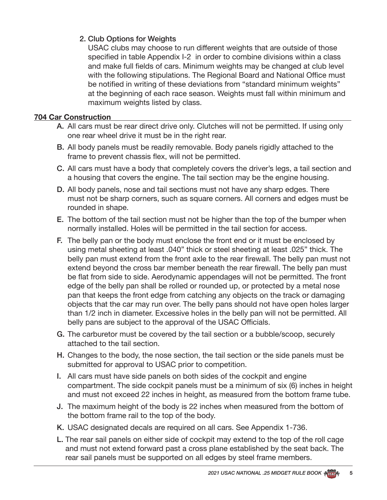### 2. Club Options for Weights

USAC clubs may choose to run different weights that are outside of those specified in table Appendix I-2 in order to combine divisions within a class and make full fields of cars. Minimum weights may be changed at club level with the following stipulations. The Regional Board and National Office must be notified in writing of these deviations from "standard minimum weights" at the beginning of each race season. Weights must fall within minimum and maximum weights listed by class.

### **704 Car Construction**

- A. All cars must be rear direct drive only. Clutches will not be permitted. If using only one rear wheel drive it must be in the right rear.
- B. All body panels must be readily removable. Body panels rigidly attached to the frame to prevent chassis flex, will not be permitted.
- C. All cars must have a body that completely covers the driver's legs, a tail section and a housing that covers the engine. The tail section may be the engine housing.
- D. All body panels, nose and tail sections must not have any sharp edges. There must not be sharp corners, such as square corners. All corners and edges must be rounded in shape.
- E. The bottom of the tail section must not be higher than the top of the bumper when normally installed. Holes will be permitted in the tail section for access.
- F. The belly pan or the body must enclose the front end or it must be enclosed by using metal sheeting at least .040" thick or steel sheeting at least .025" thick. The belly pan must extend from the front axle to the rear firewall. The belly pan must not extend beyond the cross bar member beneath the rear firewall. The belly pan must be flat from side to side. Aerodynamic appendages will not be permitted. The front edge of the belly pan shall be rolled or rounded up, or protected by a metal nose pan that keeps the front edge from catching any objects on the track or damaging objects that the car may run over. The belly pans should not have open holes larger than 1/2 inch in diameter. Excessive holes in the belly pan will not be permitted. All belly pans are subject to the approval of the USAC Officials.
- G. The carburetor must be covered by the tail section or a bubble/scoop, securely attached to the tail section.
- H. Changes to the body, the nose section, the tail section or the side panels must be submitted for approval to USAC prior to competition.
- I. All cars must have side panels on both sides of the cockpit and engine compartment. The side cockpit panels must be a minimum of six (6) inches in height and must not exceed 22 inches in height, as measured from the bottom frame tube.
- J. The maximum height of the body is 22 inches when measured from the bottom of the bottom frame rail to the top of the body.
- K. USAC designated decals are required on all cars. See Appendix 1-736.
- L. The rear sail panels on either side of cockpit may extend to the top of the roll cage and must not extend forward past a cross plane established by the seat back. The rear sail panels must be supported on all edges by steel frame members.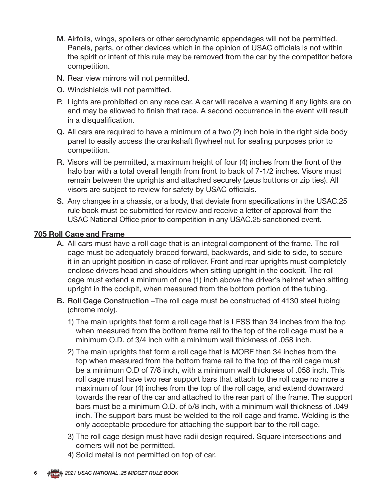- M. Airfoils, wings, spoilers or other aerodynamic appendages will not be permitted. Panels, parts, or other devices which in the opinion of USAC officials is not within the spirit or intent of this rule may be removed from the car by the competitor before competition.
- N. Rear view mirrors will not permitted.
- O. Windshields will not permitted.
- P. Lights are prohibited on any race car. A car will receive a warning if any lights are on and may be allowed to finish that race. A second occurrence in the event will result in a disqualification.
- Q. All cars are required to have a minimum of a two (2) inch hole in the right side body panel to easily access the crankshaft flywheel nut for sealing purposes prior to competition.
- R. Visors will be permitted, a maximum height of four (4) inches from the front of the halo bar with a total overall length from front to back of 7-1/2 inches. Visors must remain between the uprights and attached securely (zeus buttons or zip ties). All visors are subject to review for safety by USAC officials.
- S. Any changes in a chassis, or a body, that deviate from specifications in the USAC.25 rule book must be submitted for review and receive a letter of approval from the USAC National Office prior to competition in any USAC.25 sanctioned event.

### **705 Roll Cage and Frame**

- A. All cars must have a roll cage that is an integral component of the frame. The roll cage must be adequately braced forward, backwards, and side to side, to secure it in an upright position in case of rollover. Front and rear uprights must completely enclose drivers head and shoulders when sitting upright in the cockpit. The roll cage must extend a minimum of one (1) inch above the driver's helmet when sitting upright in the cockpit, when measured from the bottom portion of the tubing.
- B. Roll Cage Construction –The roll cage must be constructed of 4130 steel tubing (chrome moly).
	- 1) The main uprights that form a roll cage that is LESS than 34 inches from the top when measured from the bottom frame rail to the top of the roll cage must be a minimum O.D. of 3/4 inch with a minimum wall thickness of .058 inch.
	- 2) The main uprights that form a roll cage that is MORE than 34 inches from the top when measured from the bottom frame rail to the top of the roll cage must be a minimum O.D of 7/8 inch, with a minimum wall thickness of .058 inch. This roll cage must have two rear support bars that attach to the roll cage no more a maximum of four (4) inches from the top of the roll cage, and extend downward towards the rear of the car and attached to the rear part of the frame. The support bars must be a minimum O.D. of 5/8 inch, with a minimum wall thickness of .049 inch. The support bars must be welded to the roll cage and frame. Welding is the only acceptable procedure for attaching the support bar to the roll cage.
	- 3) The roll cage design must have radii design required. Square intersections and corners will not be permitted.
	- 4) Solid metal is not permitted on top of car.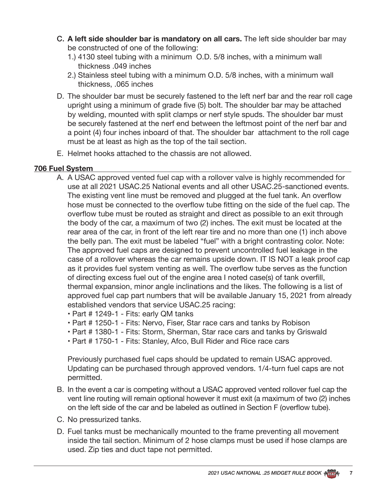- C. **A left side shoulder bar is mandatory on all cars.** The left side shoulder bar may be constructed of one of the following:
	- 1.) 4130 steel tubing with a minimum O.D. 5/8 inches, with a minimum wall thickness .049 inches
	- 2.) Stainless steel tubing with a minimum O.D. 5/8 inches, with a minimum wall thickness, .065 inches
- D. The shoulder bar must be securely fastened to the left nerf bar and the rear roll cage upright using a minimum of grade five (5) bolt. The shoulder bar may be attached by welding, mounted with split clamps or nerf style spuds. The shoulder bar must be securely fastened at the nerf end between the leftmost point of the nerf bar and a point (4) four inches inboard of that. The shoulder bar attachment to the roll cage must be at least as high as the top of the tail section.
- E. Helmet hooks attached to the chassis are not allowed.

### **706 Fuel System**

- A. A USAC approved vented fuel cap with a rollover valve is highly recommended for use at all 2021 USAC.25 National events and all other USAC.25-sanctioned events. The existing vent line must be removed and plugged at the fuel tank. An overflow hose must be connected to the overflow tube fitting on the side of the fuel cap. The overflow tube must be routed as straight and direct as possible to an exit through the body of the car, a maximum of two (2) inches. The exit must be located at the rear area of the car, in front of the left rear tire and no more than one (1) inch above the belly pan. The exit must be labeled "fuel" with a bright contrasting color. Note: The approved fuel caps are designed to prevent uncontrolled fuel leakage in the case of a rollover whereas the car remains upside down. IT IS NOT a leak proof cap as it provides fuel system venting as well. The overflow tube serves as the function of directing excess fuel out of the engine area I noted case(s) of tank overfill, thermal expansion, minor angle inclinations and the likes. The following is a list of approved fuel cap part numbers that will be available January 15, 2021 from already established vendors that service USAC.25 racing:
	- Part # 1249-1 Fits: early QM tanks
	- Part # 1250-1 Fits: Nervo, Fiser, Star race cars and tanks by Robison
	- Part # 1380-1 Fits: Storm, Sherman, Star race cars and tanks by Griswald
	- Part # 1750-1 Fits: Stanley, Afco, Bull Rider and Rice race cars

Previously purchased fuel caps should be updated to remain USAC approved. Updating can be purchased through approved vendors. 1/4-turn fuel caps are not permitted.

- B. In the event a car is competing without a USAC approved vented rollover fuel cap the vent line routing will remain optional however it must exit (a maximum of two (2) inches on the left side of the car and be labeled as outlined in Section F (overflow tube).
- C. No pressurized tanks.
- D. Fuel tanks must be mechanically mounted to the frame preventing all movement inside the tail section. Minimum of 2 hose clamps must be used if hose clamps are used. Zip ties and duct tape not permitted.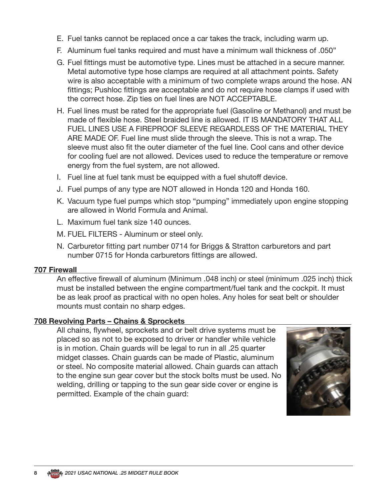- E. Fuel tanks cannot be replaced once a car takes the track, including warm up.
- F. Aluminum fuel tanks required and must have a minimum wall thickness of .050"
- G. Fuel fittings must be automotive type. Lines must be attached in a secure manner. Metal automotive type hose clamps are required at all attachment points. Safety wire is also acceptable with a minimum of two complete wraps around the hose. AN fittings; Pushloc fittings are acceptable and do not require hose clamps if used with the correct hose. Zip ties on fuel lines are NOT ACCEPTABLE.
- H. Fuel lines must be rated for the appropriate fuel (Gasoline or Methanol) and must be made of flexible hose. Steel braided line is allowed. IT IS MANDATORY THAT ALL FUEL LINES USE A FIREPROOF SLEEVE REGARDLESS OF THE MATERIAL THEY ARE MADE OF. Fuel line must slide through the sleeve. This is not a wrap. The sleeve must also fit the outer diameter of the fuel line. Cool cans and other device for cooling fuel are not allowed. Devices used to reduce the temperature or remove energy from the fuel system, are not allowed.
- I. Fuel line at fuel tank must be equipped with a fuel shutoff device.
- J. Fuel pumps of any type are NOT allowed in Honda 120 and Honda 160.
- K. Vacuum type fuel pumps which stop "pumping" immediately upon engine stopping are allowed in World Formula and Animal.
- L. Maximum fuel tank size 140 ounces.
- M. FUEL FILTERS Aluminum or steel only.
- N. Carburetor fitting part number 0714 for Briggs & Stratton carburetors and part number 0715 for Honda carburetors fittings are allowed.

#### **707 Firewall**

An effective firewall of aluminum (Minimum .048 inch) or steel (minimum .025 inch) thick must be installed between the engine compartment/fuel tank and the cockpit. It must be as leak proof as practical with no open holes. Any holes for seat belt or shoulder mounts must contain no sharp edges.

#### **708 Revolving Parts – Chains & Sprockets**

All chains, flywheel, sprockets and or belt drive systems must be placed so as not to be exposed to driver or handler while vehicle is in motion. Chain guards will be legal to run in all .25 quarter midget classes. Chain guards can be made of Plastic, aluminum or steel. No composite material allowed. Chain guards can attach to the engine sun gear cover but the stock bolts must be used. No welding, drilling or tapping to the sun gear side cover or engine is permitted. Example of the chain guard:

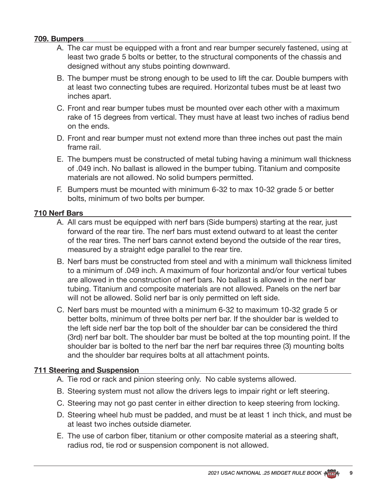### **709. Bumpers**

- A. The car must be equipped with a front and rear bumper securely fastened, using at least two grade 5 bolts or better, to the structural components of the chassis and designed without any stubs pointing downward.
- B. The bumper must be strong enough to be used to lift the car. Double bumpers with at least two connecting tubes are required. Horizontal tubes must be at least two inches apart.
- C. Front and rear bumper tubes must be mounted over each other with a maximum rake of 15 degrees from vertical. They must have at least two inches of radius bend on the ends.
- D. Front and rear bumper must not extend more than three inches out past the main frame rail.
- E. The bumpers must be constructed of metal tubing having a minimum wall thickness of .049 inch. No ballast is allowed in the bumper tubing. Titanium and composite materials are not allowed. No solid bumpers permitted.
- F. Bumpers must be mounted with minimum 6-32 to max 10-32 grade 5 or better bolts, minimum of two bolts per bumper.

### **710 Nerf Bars**

- A. All cars must be equipped with nerf bars (Side bumpers) starting at the rear, just forward of the rear tire. The nerf bars must extend outward to at least the center of the rear tires. The nerf bars cannot extend beyond the outside of the rear tires, measured by a straight edge parallel to the rear tire.
- B. Nerf bars must be constructed from steel and with a minimum wall thickness limited to a minimum of .049 inch. A maximum of four horizontal and/or four vertical tubes are allowed in the construction of nerf bars. No ballast is allowed in the nerf bar tubing. Titanium and composite materials are not allowed. Panels on the nerf bar will not be allowed. Solid nerf bar is only permitted on left side.
- C. Nerf bars must be mounted with a minimum 6-32 to maximum 10-32 grade 5 or better bolts, minimum of three bolts per nerf bar. If the shoulder bar is welded to the left side nerf bar the top bolt of the shoulder bar can be considered the third (3rd) nerf bar bolt. The shoulder bar must be bolted at the top mounting point. If the shoulder bar is bolted to the nerf bar the nerf bar requires three (3) mounting bolts and the shoulder bar requires bolts at all attachment points.

#### **711 Steering and Suspension**

- A. Tie rod or rack and pinion steering only. No cable systems allowed.
- B. Steering system must not allow the drivers legs to impair right or left steering.
- C. Steering may not go past center in either direction to keep steering from locking.
- D. Steering wheel hub must be padded, and must be at least 1 inch thick, and must be at least two inches outside diameter.
- E. The use of carbon fiber, titanium or other composite material as a steering shaft, radius rod, tie rod or suspension component is not allowed.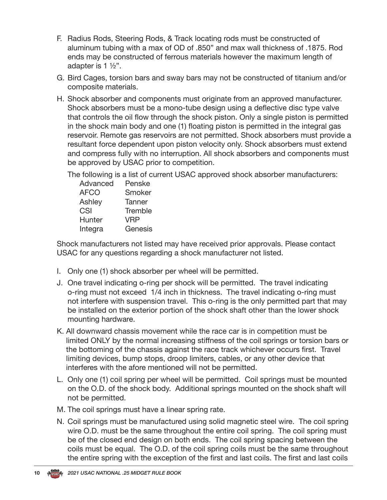- F. Radius Rods, Steering Rods, & Track locating rods must be constructed of aluminum tubing with a max of OD of .850" and max wall thickness of .1875. Rod ends may be constructed of ferrous materials however the maximum length of adapter is 1 ½".
- G. Bird Cages, torsion bars and sway bars may not be constructed of titanium and/or composite materials.
- H. Shock absorber and components must originate from an approved manufacturer. Shock absorbers must be a mono-tube design using a deflective disc type valve that controls the oil flow through the shock piston. Only a single piston is permitted in the shock main body and one (1) floating piston is permitted in the integral gas reservoir. Remote gas reservoirs are not permitted. Shock absorbers must provide a resultant force dependent upon piston velocity only. Shock absorbers must extend and compress fully with no interruption. All shock absorbers and components must be approved by USAC prior to competition.

The following is a list of current USAC approved shock absorber manufacturers:

| Advanced    | Penske        |
|-------------|---------------|
| <b>AFCO</b> | Smoker        |
| Ashley      | <b>Tanner</b> |
| CSI         | Tremble       |
| Hunter      | <b>VRP</b>    |
| Integra     | Genesis       |
|             |               |

Shock manufacturers not listed may have received prior approvals. Please contact USAC for any questions regarding a shock manufacturer not listed.

- I. Only one (1) shock absorber per wheel will be permitted.
- J. One travel indicating o-ring per shock will be permitted. The travel indicating o-ring must not exceed 1/4 inch in thickness. The travel indicating o-ring must not interfere with suspension travel. This o-ring is the only permitted part that may be installed on the exterior portion of the shock shaft other than the lower shock mounting hardware.
- K. All downward chassis movement while the race car is in competition must be limited ONLY by the normal increasing stiffness of the coil springs or torsion bars or the bottoming of the chassis against the race track whichever occurs first. Travel limiting devices, bump stops, droop limiters, cables, or any other device that interferes with the afore mentioned will not be permitted.
- L. Only one (1) coil spring per wheel will be permitted. Coil springs must be mounted on the O.D. of the shock body. Additional springs mounted on the shock shaft will not be permitted.
- M. The coil springs must have a linear spring rate.
- N. Coil springs must be manufactured using solid magnetic steel wire. The coil spring wire O.D. must be the same throughout the entire coil spring. The coil spring must be of the closed end design on both ends. The coil spring spacing between the coils must be equal. The O.D. of the coil spring coils must be the same throughout the entire spring with the exception of the first and last coils. The first and last coils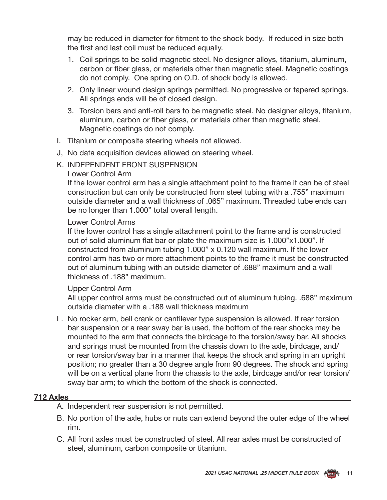may be reduced in diameter for fitment to the shock body. If reduced in size both the first and last coil must be reduced equally.

- 1. Coil springs to be solid magnetic steel. No designer alloys, titanium, aluminum, carbon or fiber glass, or materials other than magnetic steel. Magnetic coatings do not comply. One spring on O.D. of shock body is allowed.
- 2. Only linear wound design springs permitted. No progressive or tapered springs. All springs ends will be of closed design.
- 3. Torsion bars and anti-roll bars to be magnetic steel. No designer alloys, titanium, aluminum, carbon or fiber glass, or materials other than magnetic steel. Magnetic coatings do not comply.
- I. Titanium or composite steering wheels not allowed.
- J, No data acquisition devices allowed on steering wheel.
- K. INDEPENDENT FRONT SUSPENSION

#### Lower Control Arm

If the lower control arm has a single attachment point to the frame it can be of steel construction but can only be constructed from steel tubing with a .755" maximum outside diameter and a wall thickness of .065" maximum. Threaded tube ends can be no longer than 1.000" total overall length.

### Lower Control Arms

If the lower control has a single attachment point to the frame and is constructed out of solid aluminum flat bar or plate the maximum size is 1.000"x1.000". If constructed from aluminum tubing 1.000" x 0.120 wall maximum. If the lower control arm has two or more attachment points to the frame it must be constructed out of aluminum tubing with an outside diameter of .688" maximum and a wall thickness of .188" maximum.

#### Upper Control Arm

All upper control arms must be constructed out of aluminum tubing. .688" maximum outside diameter with a .188 wall thickness maximum

L. No rocker arm, bell crank or cantilever type suspension is allowed. If rear torsion bar suspension or a rear sway bar is used, the bottom of the rear shocks may be mounted to the arm that connects the birdcage to the torsion/sway bar. All shocks and springs must be mounted from the chassis down to the axle, birdcage, and/ or rear torsion/sway bar in a manner that keeps the shock and spring in an upright position; no greater than a 30 degree angle from 90 degrees. The shock and spring will be on a vertical plane from the chassis to the axle, birdcage and/or rear torsion/ sway bar arm; to which the bottom of the shock is connected.

#### **712 Axles**

- A. Independent rear suspension is not permitted.
- B. No portion of the axle, hubs or nuts can extend beyond the outer edge of the wheel rim.
- C. All front axles must be constructed of steel. All rear axles must be constructed of steel, aluminum, carbon composite or titanium.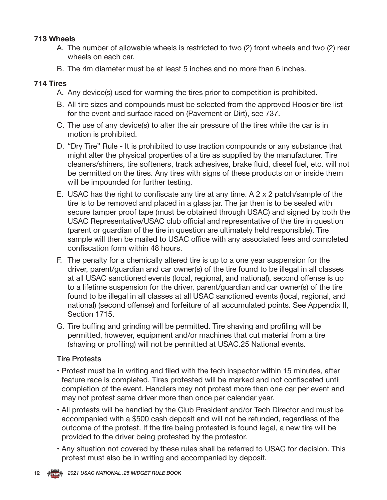### **713 Wheels**

- A. The number of allowable wheels is restricted to two (2) front wheels and two (2) rear wheels on each car.
- B. The rim diameter must be at least 5 inches and no more than 6 inches.

#### **714 Tires**

- A. Any device(s) used for warming the tires prior to competition is prohibited.
- B. All tire sizes and compounds must be selected from the approved Hoosier tire list for the event and surface raced on (Pavement or Dirt), see 737.
- C. The use of any device(s) to alter the air pressure of the tires while the car is in motion is prohibited.
- D. "Dry Tire" Rule It is prohibited to use traction compounds or any substance that might alter the physical properties of a tire as supplied by the manufacturer. Tire cleaners/shiners, tire softeners, track adhesives, brake fluid, diesel fuel, etc. will not be permitted on the tires. Any tires with signs of these products on or inside them will be impounded for further testing.
- E. USAC has the right to confiscate any tire at any time. A 2 x 2 patch/sample of the tire is to be removed and placed in a glass jar. The jar then is to be sealed with secure tamper proof tape (must be obtained through USAC) and signed by both the USAC Representative/USAC club official and representative of the tire in question (parent or guardian of the tire in question are ultimately held responsible). Tire sample will then be mailed to USAC office with any associated fees and completed confiscation form within 48 hours.
- F. The penalty for a chemically altered tire is up to a one year suspension for the driver, parent/guardian and car owner(s) of the tire found to be illegal in all classes at all USAC sanctioned events (local, regional, and national), second offense is up to a lifetime suspension for the driver, parent/guardian and car owner(s) of the tire found to be illegal in all classes at all USAC sanctioned events (local, regional, and national) (second offense) and forfeiture of all accumulated points. See Appendix II, Section 1715.
- G. Tire buffing and grinding will be permitted. Tire shaving and profiling will be permitted, however, equipment and/or machines that cut material from a tire (shaving or profiling) will not be permitted at USAC.25 National events.

#### Tire Protests

- Protest must be in writing and filed with the tech inspector within 15 minutes, after feature race is completed. Tires protested will be marked and not confiscated until completion of the event. Handlers may not protest more than one car per event and may not protest same driver more than once per calendar year.
- All protests will be handled by the Club President and/or Tech Director and must be accompanied with a \$500 cash deposit and will not be refunded, regardless of the outcome of the protest. If the tire being protested is found legal, a new tire will be provided to the driver being protested by the protestor.
- Any situation not covered by these rules shall be referred to USAC for decision. This protest must also be in writing and accompanied by deposit.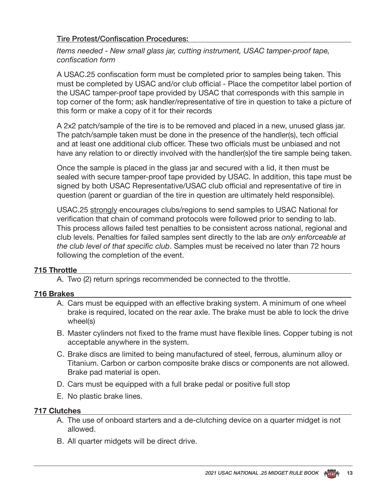### Tire Protest/Confiscation Procedures:

 *Items needed - New small glass jar, cutting instrument, USAC tamper-proof tape, confiscation form*

A USAC.25 confiscation form must be completed prior to samples being taken. This must be completed by USAC and/or club official - Place the competitor label portion of the USAC tamper-proof tape provided by USAC that corresponds with this sample in top corner of the form; ask handler/representative of tire in question to take a picture of this form or make a copy of it for their records

A 2x2 patch/sample of the tire is to be removed and placed in a new, unused glass jar. The patch/sample taken must be done in the presence of the handler(s), tech official and at least one additional club officer. These two officials must be unbiased and not have any relation to or directly involved with the handler(s)of the tire sample being taken.

Once the sample is placed in the glass jar and secured with a lid, it then must be sealed with secure tamper-proof tape provided by USAC. In addition, this tape must be signed by both USAC Representative/USAC club official and representative of tire in question (parent or guardian of the tire in question are ultimately held responsible).

USAC.25 strongly encourages clubs/regions to send samples to USAC National for verification that chain of command protocols were followed prior to sending to lab. This process allows failed test penalties to be consistent across national, regional and club levels. Penalties for failed samples sent directly to the lab are *only enforceable at the club level of that specific club*. Samples must be received no later than 72 hours following the completion of the event.

### **715 Throttle**

A. Two (2) return springs recommended be connected to the throttle.

### **716 Brakes**

- A. Cars must be equipped with an effective braking system. A minimum of one wheel brake is required, located on the rear axle. The brake must be able to lock the drive wheel(s)
- B. Master cylinders not fixed to the frame must have flexible lines. Copper tubing is not acceptable anywhere in the system.
- C. Brake discs are limited to being manufactured of steel, ferrous, aluminum alloy or Titanium. Carbon or carbon composite brake discs or components are not allowed. Brake pad material is open.
- D. Cars must be equipped with a full brake pedal or positive full stop
- E. No plastic brake lines.

#### **717 Clutches**

- A. The use of onboard starters and a de-clutching device on a quarter midget is not allowed.
- B. All quarter midgets will be direct drive.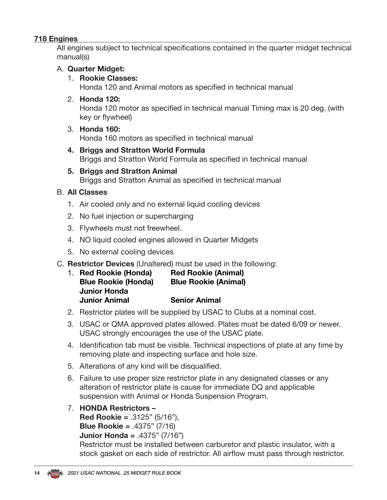### **718 Engines**

All engines subject to technical specifications contained in the quarter midget technical manual(s)

### A. **Quarter Midget:**

#### 1. **Rookie Classes:**

Honda 120 and Animal motors as specified in technical manual

### 2. **Honda 120:**

Honda 120 motor as specified in technical manual Timing max is 20 deg. (with key or flywheel)

3. **Honda 160:**

Honda 160 motors as specified in technical manual

- **4. Briggs and Stratton World Formula** Briggs and Stratton World Formula as specified in technical manual
- **5. Briggs and Stratton Animal** Briggs and Stratton Animal as specified in technical manual

### B. **All Classes**

- 1. Air cooled only and no external liquid cooling devices
- 2. No fuel injection or supercharging
- 3. Flywheels must not freewheel.
- 4. NO liquid cooled engines allowed in Quarter Midgets
- 5. No external cooling devices
- C. **Restrictor Devices** (Unaltered) must be used in the following:

|                      | 1. Red Rookie (Honda)      | <b>Red Rookie (Animal)</b>  |
|----------------------|----------------------------|-----------------------------|
|                      | <b>Blue Rookie (Honda)</b> | <b>Blue Rookie (Animal)</b> |
| <b>Junior Honda</b>  |                            |                             |
| <b>Junior Animal</b> |                            | <b>Senior Animal</b>        |

- 2. Restrictor plates will be supplied by USAC to Clubs at a nominal cost.
- 3. USAC or QMA approved plates allowed. Plates must be dated 6/09 or newer. USAC strongly encourages the use of the USAC plate.
- 4. Identification tab must be visible. Technical inspections of plate at any time by removing plate and inspecting surface and hole size.
- 5. Alterations of any kind will be disqualified.
- 6. Failure to use proper size restrictor plate in any designated classes or any alteration of restrictor plate is cause for immediate DQ and applicable suspension with Animal or Honda Suspension Program.
- 7. **HONDA Restrictors –**

**Red Rookie =** .3125" (5/16"),

```
Blue Rookie = .4375" (7/16)
```

```
Junior Honda = .4375" (7/16")
```
Restrictor must be installed between carburetor and plastic insulator, with a stock gasket on each side of restrictor. All airflow must pass through restrictor.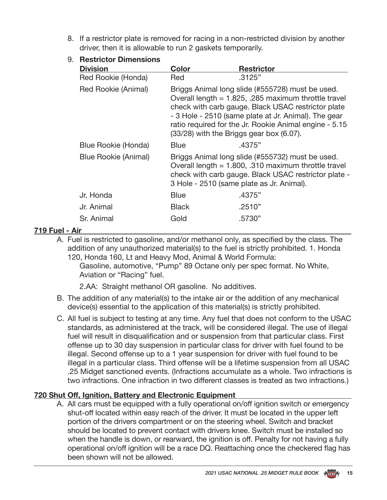8. If a restrictor plate is removed for racing in a non-restricted division by another driver, then it is allowable to run 2 gaskets temporarily.

### 9. **Restrictor Dimensions**

| <b>Division</b>      | Color                                                                                                                                                                                                                                                                                                                           | <b>Restrictor</b> |  |  |  |  |  |
|----------------------|---------------------------------------------------------------------------------------------------------------------------------------------------------------------------------------------------------------------------------------------------------------------------------------------------------------------------------|-------------------|--|--|--|--|--|
| Red Rookie (Honda)   | Red                                                                                                                                                                                                                                                                                                                             | .3125"            |  |  |  |  |  |
| Red Rookie (Animal)  | Briggs Animal long slide (#555728) must be used.<br>Overall length = $1.825$ , .285 maximum throttle travel<br>check with carb gauge. Black USAC restrictor plate<br>- 3 Hole - 2510 (same plate at Jr. Animal). The gear<br>ratio required for the Jr. Rookie Animal engine - 5.15<br>(33/28) with the Briggs gear box (6.07). |                   |  |  |  |  |  |
| Blue Rookie (Honda)  | <b>Blue</b>                                                                                                                                                                                                                                                                                                                     | .4375"            |  |  |  |  |  |
| Blue Rookie (Animal) | Briggs Animal long slide (#555732) must be used.<br>Overall length $= 1.800$ , .310 maximum throttle travel<br>check with carb gauge. Black USAC restrictor plate -<br>3 Hole - 2510 (same plate as Jr. Animal).                                                                                                                |                   |  |  |  |  |  |
| Jr. Honda            | <b>Blue</b>                                                                                                                                                                                                                                                                                                                     | .4375"            |  |  |  |  |  |
| Jr. Animal           | <b>Black</b>                                                                                                                                                                                                                                                                                                                    | .2510"            |  |  |  |  |  |
| Sr. Animal           | Gold                                                                                                                                                                                                                                                                                                                            | .5730"            |  |  |  |  |  |

### **719 Fuel - Air**

A. Fuel is restricted to gasoline, and/or methanol only, as specified by the class. The addition of any unauthorized material(s) to the fuel is strictly prohibited. 1. Honda 120, Honda 160, Lt and Heavy Mod, Animal & World Formula:

Gasoline, automotive, "Pump" 89 Octane only per spec format. No White, Aviation or "Racing" fuel.

2.AA: Straight methanol OR gasoline. No additives.

- B. The addition of any material(s) to the intake air or the addition of any mechanical device(s) essential to the application of this material(s) is strictly prohibited.
- C. All fuel is subject to testing at any time. Any fuel that does not conform to the USAC standards, as administered at the track, will be considered illegal. The use of illegal fuel will result in disqualification and or suspension from that particular class. First offense up to 30 day suspension in particular class for driver with fuel found to be illegal. Second offense up to a 1 year suspension for driver with fuel found to be illegal in a particular class. Third offense will be a lifetime suspension from all USAC .25 Midget sanctioned events. (Infractions accumulate as a whole. Two infractions is two infractions. One infraction in two different classes is treated as two infractions.)

### **720 Shut Off, Ignition, Battery and Electronic Equipment**

A. All cars must be equipped with a fully operational on/off ignition switch or emergency shut-off located within easy reach of the driver. It must be located in the upper left portion of the drivers compartment or on the steering wheel. Switch and bracket should be located to prevent contact with drivers knee. Switch must be installed so when the handle is down, or rearward, the ignition is off. Penalty for not having a fully operational on/off ignition will be a race DQ. Reattaching once the checkered flag has been shown will not be allowed.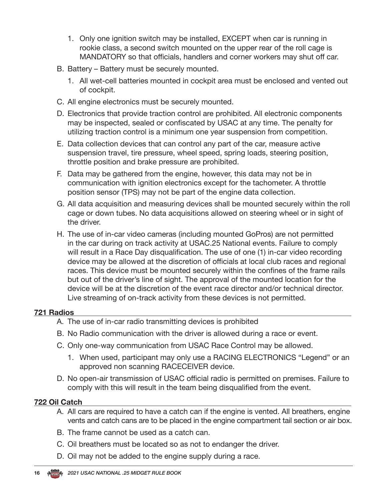- 1. Only one ignition switch may be installed, EXCEPT when car is running in rookie class, a second switch mounted on the upper rear of the roll cage is MANDATORY so that officials, handlers and corner workers may shut off car.
- B. Battery Battery must be securely mounted.
	- 1. All wet-cell batteries mounted in cockpit area must be enclosed and vented out of cockpit.
- C. All engine electronics must be securely mounted.
- D. Electronics that provide traction control are prohibited. All electronic components may be inspected, sealed or confiscated by USAC at any time. The penalty for utilizing traction control is a minimum one year suspension from competition.
- E. Data collection devices that can control any part of the car, measure active suspension travel, tire pressure, wheel speed, spring loads, steering position, throttle position and brake pressure are prohibited.
- F. Data may be gathered from the engine, however, this data may not be in communication with ignition electronics except for the tachometer. A throttle position sensor (TPS) may not be part of the engine data collection.
- G. All data acquisition and measuring devices shall be mounted securely within the roll cage or down tubes. No data acquisitions allowed on steering wheel or in sight of the driver.
- H. The use of in-car video cameras (including mounted GoPros) are not permitted in the car during on track activity at USAC.25 National events. Failure to comply will result in a Race Day disqualification. The use of one (1) in-car video recording device may be allowed at the discretion of officials at local club races and regional races. This device must be mounted securely within the confines of the frame rails but out of the driver's line of sight. The approval of the mounted location for the device will be at the discretion of the event race director and/or technical director. Live streaming of on-track activity from these devices is not permitted.

### **721 Radios**

- A. The use of in-car radio transmitting devices is prohibited
- B. No Radio communication with the driver is allowed during a race or event.
- C. Only one-way communication from USAC Race Control may be allowed.
	- 1. When used, participant may only use a RACING ELECTRONICS "Legend" or an approved non scanning RACECEIVER device.
- D. No open-air transmission of USAC official radio is permitted on premises. Failure to comply with this will result in the team being disqualified from the event.

### **722 Oil Catch**

- A. All cars are required to have a catch can if the engine is vented. All breathers, engine vents and catch cans are to be placed in the engine compartment tail section or air box.
- B. The frame cannot be used as a catch can.
- C. Oil breathers must be located so as not to endanger the driver.
- D. Oil may not be added to the engine supply during a race.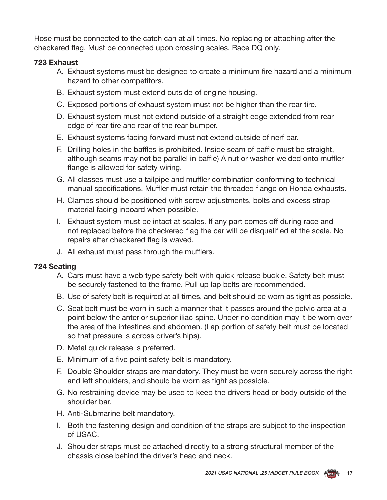Hose must be connected to the catch can at all times. No replacing or attaching after the checkered flag. Must be connected upon crossing scales. Race DQ only.

### **723 Exhaust**

- A. Exhaust systems must be designed to create a minimum fire hazard and a minimum hazard to other competitors.
- B. Exhaust system must extend outside of engine housing.
- C. Exposed portions of exhaust system must not be higher than the rear tire.
- D. Exhaust system must not extend outside of a straight edge extended from rear edge of rear tire and rear of the rear bumper.
- E. Exhaust systems facing forward must not extend outside of nerf bar.
- F. Drilling holes in the baffles is prohibited. Inside seam of baffle must be straight, although seams may not be parallel in baffle) A nut or washer welded onto muffler flange is allowed for safety wiring.
- G. All classes must use a tailpipe and muffler combination conforming to technical manual specifications. Muffler must retain the threaded flange on Honda exhausts.
- H. Clamps should be positioned with screw adjustments, bolts and excess strap material facing inboard when possible.
- I. Exhaust system must be intact at scales. If any part comes off during race and not replaced before the checkered flag the car will be disqualified at the scale. No repairs after checkered flag is waved.
- J. All exhaust must pass through the mufflers.

### **724 Seating**

- A. Cars must have a web type safety belt with quick release buckle. Safety belt must be securely fastened to the frame. Pull up lap belts are recommended.
- B. Use of safety belt is required at all times, and belt should be worn as tight as possible.
- C. Seat belt must be worn in such a manner that it passes around the pelvic area at a point below the anterior superior iliac spine. Under no condition may it be worn over the area of the intestines and abdomen. (Lap portion of safety belt must be located so that pressure is across driver's hips).
- D. Metal quick release is preferred.
- E. Minimum of a five point safety belt is mandatory.
- F. Double Shoulder straps are mandatory. They must be worn securely across the right and left shoulders, and should be worn as tight as possible.
- G. No restraining device may be used to keep the drivers head or body outside of the shoulder bar.
- H. Anti-Submarine belt mandatory.
- I. Both the fastening design and condition of the straps are subject to the inspection of USAC.
- J. Shoulder straps must be attached directly to a strong structural member of the chassis close behind the driver's head and neck.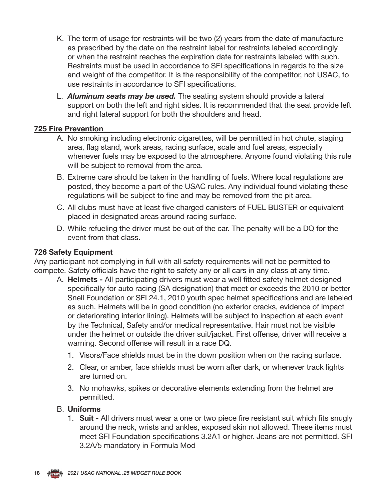- K. The term of usage for restraints will be two (2) years from the date of manufacture as prescribed by the date on the restraint label for restraints labeled accordingly or when the restraint reaches the expiration date for restraints labeled with such. Restraints must be used in accordance to SFI specifications in regards to the size and weight of the competitor. It is the responsibility of the competitor, not USAC, to use restraints in accordance to SFI specifications.
- L. *Aluminum seats may be used.* The seating system should provide a lateral support on both the left and right sides. It is recommended that the seat provide left and right lateral support for both the shoulders and head.

#### **725 Fire Prevention**

- A. No smoking including electronic cigarettes, will be permitted in hot chute, staging area, flag stand, work areas, racing surface, scale and fuel areas, especially whenever fuels may be exposed to the atmosphere. Anyone found violating this rule will be subject to removal from the area.
- B. Extreme care should be taken in the handling of fuels. Where local regulations are posted, they become a part of the USAC rules. Any individual found violating these regulations will be subject to fine and may be removed from the pit area.
- C. All clubs must have at least five charged canisters of FUEL BUSTER or equivalent placed in designated areas around racing surface.
- D. While refueling the driver must be out of the car. The penalty will be a DQ for the event from that class.

#### **726 Safety Equipment**

Any participant not complying in full with all safety requirements will not be permitted to compete. Safety officials have the right to safety any or all cars in any class at any time.

- A. **Helmets -** All participating drivers must wear a well fitted safety helmet designed specifically for auto racing (SA designation) that meet or exceeds the 2010 or better Snell Foundation or SFI 24.1, 2010 youth spec helmet specifications and are labeled as such. Helmets will be in good condition (no exterior cracks, evidence of impact or deteriorating interior lining). Helmets will be subject to inspection at each event by the Technical, Safety and/or medical representative. Hair must not be visible under the helmet or outside the driver suit/jacket. First offense, driver will receive a warning. Second offense will result in a race DQ.
	- 1. Visors/Face shields must be in the down position when on the racing surface.
	- 2. Clear, or amber, face shields must be worn after dark, or whenever track lights are turned on.
	- 3. No mohawks, spikes or decorative elements extending from the helmet are permitted.

#### B. **Uniforms**

1. **Suit** - All drivers must wear a one or two piece fire resistant suit which fits snugly around the neck, wrists and ankles, exposed skin not allowed. These items must meet SFI Foundation specifications 3.2A1 or higher. Jeans are not permitted. SFI 3.2A/5 mandatory in Formula Mod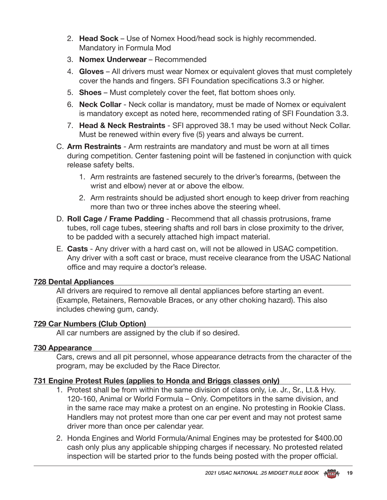- 2. **Head Sock**  Use of Nomex Hood/head sock is highly recommended. Mandatory in Formula Mod
- 3. **Nomex Underwear**  Recommended
- 4. **Gloves**  All drivers must wear Nomex or equivalent gloves that must completely cover the hands and fingers. SFI Foundation specifications 3.3 or higher.
- 5. **Shoes**  Must completely cover the feet, flat bottom shoes only.
- 6. **Neck Collar**  Neck collar is mandatory, must be made of Nomex or equivalent is mandatory except as noted here, recommended rating of SFI Foundation 3.3.
- 7. **Head & Neck Restraints** SFI approved 38.1 may be used without Neck Collar. Must be renewed within every five (5) years and always be current.
- C. **Arm Restraints**  Arm restraints are mandatory and must be worn at all times during competition. Center fastening point will be fastened in conjunction with quick release safety belts.
	- 1. Arm restraints are fastened securely to the driver's forearms, (between the wrist and elbow) never at or above the elbow.
	- 2. Arm restraints should be adjusted short enough to keep driver from reaching more than two or three inches above the steering wheel.
- D. **Roll Cage / Frame Padding**  Recommend that all chassis protrusions, frame tubes, roll cage tubes, steering shafts and roll bars in close proximity to the driver, to be padded with a securely attached high impact material.
- E. **Casts** Any driver with a hard cast on, will not be allowed in USAC competition. Any driver with a soft cast or brace, must receive clearance from the USAC National office and may require a doctor's release.

### **728 Dental Appliances**

All drivers are required to remove all dental appliances before starting an event. (Example, Retainers, Removable Braces, or any other choking hazard). This also includes chewing gum, candy.

### **729 Car Numbers (Club Option)**

All car numbers are assigned by the club if so desired.

#### **730 Appearance**

Cars, crews and all pit personnel, whose appearance detracts from the character of the program, may be excluded by the Race Director.

### **731 Engine Protest Rules (applies to Honda and Briggs classes only)**

- 1. Protest shall be from within the same division of class only, i.e. Jr., Sr., Lt.& Hvy. 120-160, Animal or World Formula – Only. Competitors in the same division, and in the same race may make a protest on an engine. No protesting in Rookie Class. Handlers may not protest more than one car per event and may not protest same driver more than once per calendar year.
- 2. Honda Engines and World Formula/Animal Engines may be protested for \$400.00 cash only plus any applicable shipping charges if necessary. No protested related inspection will be started prior to the funds being posted with the proper official.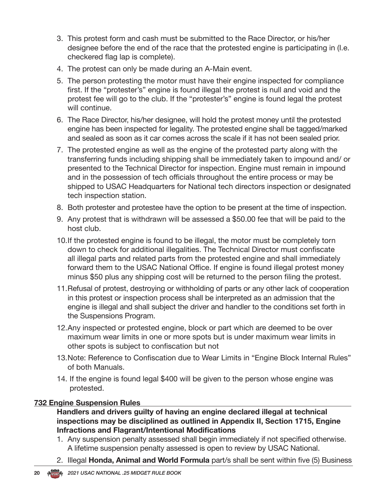- 3. This protest form and cash must be submitted to the Race Director, or his/her designee before the end of the race that the protested engine is participating in (I.e. checkered flag lap is complete).
- 4. The protest can only be made during an A-Main event.
- 5. The person protesting the motor must have their engine inspected for compliance first. If the "protester's" engine is found illegal the protest is null and void and the protest fee will go to the club. If the "protester's" engine is found legal the protest will continue.
- 6. The Race Director, his/her designee, will hold the protest money until the protested engine has been inspected for legality. The protested engine shall be tagged/marked and sealed as soon as it car comes across the scale if it has not been sealed prior.
- 7. The protested engine as well as the engine of the protested party along with the transferring funds including shipping shall be immediately taken to impound and/ or presented to the Technical Director for inspection. Engine must remain in impound and in the possession of tech officials throughout the entire process or may be shipped to USAC Headquarters for National tech directors inspection or designated tech inspection station.
- 8. Both protester and protestee have the option to be present at the time of inspection.
- 9. Any protest that is withdrawn will be assessed a \$50.00 fee that will be paid to the host club.
- 10.If the protested engine is found to be illegal, the motor must be completely torn down to check for additional illegalities. The Technical Director must confiscate all illegal parts and related parts from the protested engine and shall immediately forward them to the USAC National Office. If engine is found illegal protest money minus \$50 plus any shipping cost will be returned to the person filing the protest.
- 11.Refusal of protest, destroying or withholding of parts or any other lack of cooperation in this protest or inspection process shall be interpreted as an admission that the engine is illegal and shall subject the driver and handler to the conditions set forth in the Suspensions Program.
- 12.Any inspected or protested engine, block or part which are deemed to be over maximum wear limits in one or more spots but is under maximum wear limits in other spots is subject to confiscation but not
- 13.Note: Reference to Confiscation due to Wear Limits in "Engine Block Internal Rules" of both Manuals.
- 14. If the engine is found legal \$400 will be given to the person whose engine was protested.

### **732 Engine Suspension Rules**

**Handlers and drivers guilty of having an engine declared illegal at technical inspections may be disciplined as outlined in Appendix II, Section 1715, Engine Infractions and Flagrant/Intentional Modifications**

- 1. Any suspension penalty assessed shall begin immediately if not specified otherwise. A lifetime suspension penalty assessed is open to review by USAC National.
- 2. Illegal **Honda, Animal and World Formula** part/s shall be sent within five (5) Business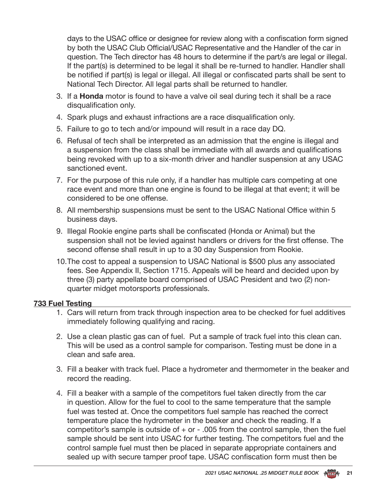days to the USAC office or designee for review along with a confiscation form signed by both the USAC Club Official/USAC Representative and the Handler of the car in question. The Tech director has 48 hours to determine if the part/s are legal or illegal. If the part(s) is determined to be legal it shall be re-turned to handler. Handler shall be notified if part(s) is legal or illegal. All illegal or confiscated parts shall be sent to National Tech Director. All legal parts shall be returned to handler.

- 3. If a **Honda** motor is found to have a valve oil seal during tech it shall be a race disqualification only.
- 4. Spark plugs and exhaust infractions are a race disqualification only.
- 5. Failure to go to tech and/or impound will result in a race day DQ.
- 6. Refusal of tech shall be interpreted as an admission that the engine is illegal and a suspension from the class shall be immediate with all awards and qualifications being revoked with up to a six-month driver and handler suspension at any USAC sanctioned event.
- 7. For the purpose of this rule only, if a handler has multiple cars competing at one race event and more than one engine is found to be illegal at that event; it will be considered to be one offense.
- 8. All membership suspensions must be sent to the USAC National Office within 5 business days.
- 9. Illegal Rookie engine parts shall be confiscated (Honda or Animal) but the suspension shall not be levied against handlers or drivers for the first offense. The second offense shall result in up to a 30 day Suspension from Rookie.
- 10.The cost to appeal a suspension to USAC National is \$500 plus any associated fees. See Appendix II, Section 1715. Appeals will be heard and decided upon by three (3) party appellate board comprised of USAC President and two (2) nonquarter midget motorsports professionals.

#### **733 Fuel Testing**

- 1. Cars will return from track through inspection area to be checked for fuel additives immediately following qualifying and racing.
- 2. Use a clean plastic gas can of fuel. Put a sample of track fuel into this clean can. This will be used as a control sample for comparison. Testing must be done in a clean and safe area.
- 3. Fill a beaker with track fuel. Place a hydrometer and thermometer in the beaker and record the reading.
- 4. Fill a beaker with a sample of the competitors fuel taken directly from the car in question. Allow for the fuel to cool to the same temperature that the sample fuel was tested at. Once the competitors fuel sample has reached the correct temperature place the hydrometer in the beaker and check the reading. If a competitor's sample is outside of  $+$  or  $-$  .005 from the control sample, then the fuel sample should be sent into USAC for further testing. The competitors fuel and the control sample fuel must then be placed in separate appropriate containers and sealed up with secure tamper proof tape. USAC confiscation form must then be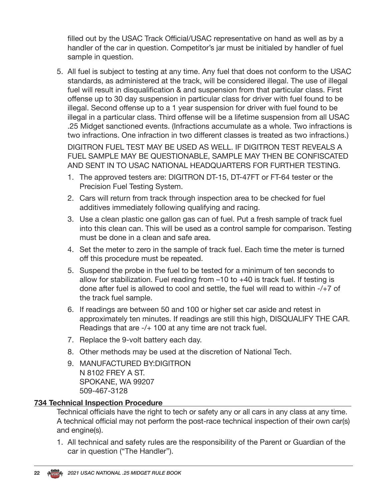filled out by the USAC Track Official/USAC representative on hand as well as by a handler of the car in question. Competitor's jar must be initialed by handler of fuel sample in question.

5. All fuel is subject to testing at any time. Any fuel that does not conform to the USAC standards, as administered at the track, will be considered illegal. The use of illegal fuel will result in disqualification & and suspension from that particular class. First offense up to 30 day suspension in particular class for driver with fuel found to be illegal. Second offense up to a 1 year suspension for driver with fuel found to be illegal in a particular class. Third offense will be a lifetime suspension from all USAC .25 Midget sanctioned events. (Infractions accumulate as a whole. Two infractions is two infractions. One infraction in two different classes is treated as two infractions.)

DIGITRON FUEL TEST MAY BE USED AS WELL. IF DIGITRON TEST REVEALS A FUEL SAMPLE MAY BE QUESTIONABLE, SAMPLE MAY THEN BE CONFISCATED AND SENT IN TO USAC NATIONAL HEADQUARTERS FOR FURTHER TESTING.

- 1. The approved testers are: DIGITRON DT-15, DT-47FT or FT-64 tester or the Precision Fuel Testing System.
- 2. Cars will return from track through inspection area to be checked for fuel additives immediately following qualifying and racing.
- 3. Use a clean plastic one gallon gas can of fuel. Put a fresh sample of track fuel into this clean can. This will be used as a control sample for comparison. Testing must be done in a clean and safe area.
- 4. Set the meter to zero in the sample of track fuel. Each time the meter is turned off this procedure must be repeated.
- 5. Suspend the probe in the fuel to be tested for a minimum of ten seconds to allow for stabilization. Fuel reading from –10 to +40 is track fuel. If testing is done after fuel is allowed to cool and settle, the fuel will read to within -/+7 of the track fuel sample.
- 6. If readings are between 50 and 100 or higher set car aside and retest in approximately ten minutes. If readings are still this high, DISQUALIFY THE CAR. Readings that are -/+ 100 at any time are not track fuel.
- 7. Replace the 9-volt battery each day.
- 8. Other methods may be used at the discretion of National Tech.
- 9. MANUFACTURED BY:DIGITRON N 8102 FREY A ST. SPOKANE, WA 99207 509-467-3128

### **734 Technical Inspection Procedure**

Technical officials have the right to tech or safety any or all cars in any class at any time. A technical official may not perform the post-race technical inspection of their own car(s) and engine(s).

1. All technical and safety rules are the responsibility of the Parent or Guardian of the car in question ("The Handler").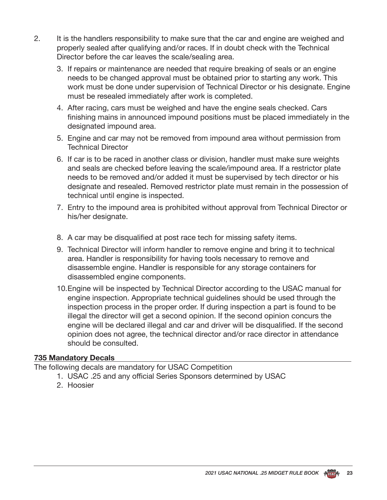- 2. It is the handlers responsibility to make sure that the car and engine are weighed and properly sealed after qualifying and/or races. If in doubt check with the Technical Director before the car leaves the scale/sealing area.
	- 3. If repairs or maintenance are needed that require breaking of seals or an engine needs to be changed approval must be obtained prior to starting any work. This work must be done under supervision of Technical Director or his designate. Engine must be resealed immediately after work is completed.
	- 4. After racing, cars must be weighed and have the engine seals checked. Cars finishing mains in announced impound positions must be placed immediately in the designated impound area.
	- 5. Engine and car may not be removed from impound area without permission from Technical Director
	- 6. If car is to be raced in another class or division, handler must make sure weights and seals are checked before leaving the scale/impound area. If a restrictor plate needs to be removed and/or added it must be supervised by tech director or his designate and resealed. Removed restrictor plate must remain in the possession of technical until engine is inspected.
	- 7. Entry to the impound area is prohibited without approval from Technical Director or his/her designate.
	- 8. A car may be disqualified at post race tech for missing safety items.
	- 9. Technical Director will inform handler to remove engine and bring it to technical area. Handler is responsibility for having tools necessary to remove and disassemble engine. Handler is responsible for any storage containers for disassembled engine components.
	- 10.Engine will be inspected by Technical Director according to the USAC manual for engine inspection. Appropriate technical guidelines should be used through the inspection process in the proper order. If during inspection a part is found to be illegal the director will get a second opinion. If the second opinion concurs the engine will be declared illegal and car and driver will be disqualified. If the second opinion does not agree, the technical director and/or race director in attendance should be consulted.

### **735 Mandatory Decals**

The following decals are mandatory for USAC Competition

- 1. USAC .25 and any official Series Sponsors determined by USAC
- 2. Hoosier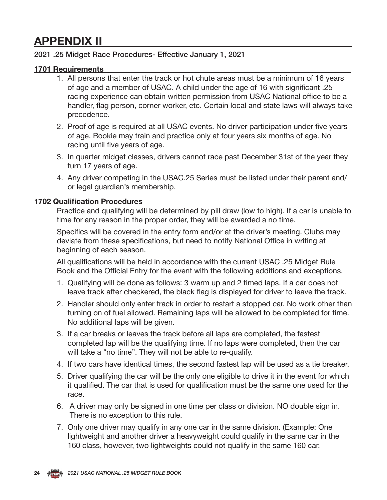## **APPENDIX II**

### 2021 .25 Midget Race Procedures- Effective January 1, 2021

### **1701 Requirements**

- 1. All persons that enter the track or hot chute areas must be a minimum of 16 years of age and a member of USAC. A child under the age of 16 with significant .25 racing experience can obtain written permission from USAC National office to be a handler, flag person, corner worker, etc. Certain local and state laws will always take precedence.
- 2. Proof of age is required at all USAC events. No driver participation under five years of age. Rookie may train and practice only at four years six months of age. No racing until five years of age.
- 3. In quarter midget classes, drivers cannot race past December 31st of the year they turn 17 years of age.
- 4. Any driver competing in the USAC.25 Series must be listed under their parent and/ or legal guardian's membership.

#### **1702 Qualification Procedures**

Practice and qualifying will be determined by pill draw (low to high). If a car is unable to time for any reason in the proper order, they will be awarded a no time.

Specifics will be covered in the entry form and/or at the driver's meeting. Clubs may deviate from these specifications, but need to notify National Office in writing at beginning of each season.

All qualifications will be held in accordance with the current USAC .25 Midget Rule Book and the Official Entry for the event with the following additions and exceptions.

- 1. Qualifying will be done as follows: 3 warm up and 2 timed laps. If a car does not leave track after checkered, the black flag is displayed for driver to leave the track.
- 2. Handler should only enter track in order to restart a stopped car. No work other than turning on of fuel allowed. Remaining laps will be allowed to be completed for time. No additional laps will be given.
- 3. If a car breaks or leaves the track before all laps are completed, the fastest completed lap will be the qualifying time. If no laps were completed, then the car will take a "no time". They will not be able to re-qualify.
- 4. If two cars have identical times, the second fastest lap will be used as a tie breaker.
- 5. Driver qualifying the car will be the only one eligible to drive it in the event for which it qualified. The car that is used for qualification must be the same one used for the race.
- 6. A driver may only be signed in one time per class or division. NO double sign in. There is no exception to this rule.
- 7. Only one driver may qualify in any one car in the same division. (Example: One lightweight and another driver a heavyweight could qualify in the same car in the 160 class, however, two lightweights could not qualify in the same 160 car.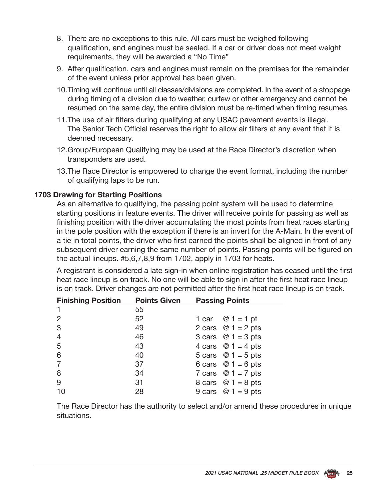- 8. There are no exceptions to this rule. All cars must be weighed following qualification, and engines must be sealed. If a car or driver does not meet weight requirements, they will be awarded a "No Time"
- 9. After qualification, cars and engines must remain on the premises for the remainder of the event unless prior approval has been given.
- 10.Timing will continue until all classes/divisions are completed. In the event of a stoppage during timing of a division due to weather, curfew or other emergency and cannot be resumed on the same day, the entire division must be re-timed when timing resumes.
- 11.The use of air filters during qualifying at any USAC pavement events is illegal. The Senior Tech Official reserves the right to allow air filters at any event that it is deemed necessary.
- 12.Group/European Qualifying may be used at the Race Director's discretion when transponders are used.
- 13.The Race Director is empowered to change the event format, including the number of qualifying laps to be run.

### **1703 Drawing for Starting Positions**

As an alternative to qualifying, the passing point system will be used to determine starting positions in feature events. The driver will receive points for passing as well as finishing position with the driver accumulating the most points from heat races starting in the pole position with the exception if there is an invert for the A-Main. In the event of a tie in total points, the driver who first earned the points shall be aligned in front of any subsequent driver earning the same number of points. Passing points will be figured on the actual lineups. #5,6,7,8,9 from 1702, apply in 1703 for heats.

A registrant is considered a late sign-in when online registration has ceased until the first heat race lineup is on track. No one will be able to sign in after the first heat race lineup is on track. Driver changes are not permitted after the first heat race lineup is on track.

| <b>Finishing Position</b> | <b>Points Given</b> | <b>Passing Points</b>      |  |  |  |  |
|---------------------------|---------------------|----------------------------|--|--|--|--|
| 1                         | 55                  |                            |  |  |  |  |
| $\overline{2}$            | 52                  | 1 car $\otimes$ 1 = 1 pt   |  |  |  |  |
| 3                         | 49                  | 2 cars $@ 1 = 2$ pts       |  |  |  |  |
| $\overline{4}$            | 46                  | 3 cars $@ 1 = 3$ pts       |  |  |  |  |
| 5                         | 43                  | 4 cars $\omega$ 1 = 4 pts  |  |  |  |  |
| 6                         | 40                  | 5 cars $@ 1 = 5$ pts       |  |  |  |  |
| $\overline{7}$            | 37                  | 6 cars $@ 1 = 6$ pts       |  |  |  |  |
| 8                         | 34                  | 7 cars $@1 = 7$ pts        |  |  |  |  |
| 9                         | 31                  | 8 cars $\oslash$ 1 = 8 pts |  |  |  |  |
| 10                        | 28                  | 9 cars $@1 = 9$ pts        |  |  |  |  |

The Race Director has the authority to select and/or amend these procedures in unique situations.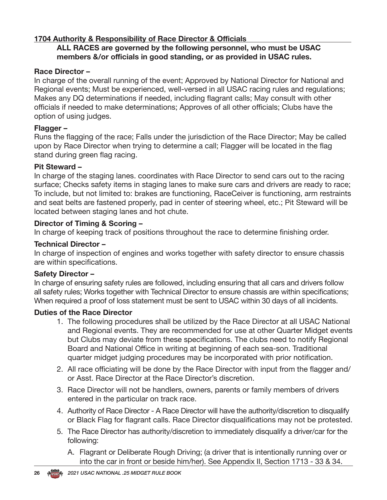### **1704 Authority & Responsibility of Race Director & Officials**

#### **ALL RACES are governed by the following personnel, who must be USAC members &/or officials in good standing, or as provided in USAC rules.**

### **Race Director –**

In charge of the overall running of the event; Approved by National Director for National and Regional events; Must be experienced, well-versed in all USAC racing rules and regulations; Makes any DQ determinations if needed, including flagrant calls; May consult with other officials if needed to make determinations; Approves of all other officials; Clubs have the option of using judges.

### **Flagger –**

Runs the flagging of the race; Falls under the jurisdiction of the Race Director; May be called upon by Race Director when trying to determine a call; Flagger will be located in the flag stand during green flag racing.

### **Pit Steward –**

In charge of the staging lanes. coordinates with Race Director to send cars out to the racing surface; Checks safety items in staging lanes to make sure cars and drivers are ready to race; To include, but not limited to: brakes are functioning, RaceCeiver is functioning, arm restraints and seat belts are fastened properly, pad in center of steering wheel, etc.; Pit Steward will be located between staging lanes and hot chute.

### **Director of Timing & Scoring –**

In charge of keeping track of positions throughout the race to determine finishing order.

### **Technical Director –**

In charge of inspection of engines and works together with safety director to ensure chassis are within specifications.

#### **Safety Director –**

In charge of ensuring safety rules are followed, including ensuring that all cars and drivers follow all safety rules; Works together with Technical Director to ensure chassis are within specifications; When required a proof of loss statement must be sent to USAC within 30 days of all incidents.

### **Duties of the Race Director**

- 1. The following procedures shall be utilized by the Race Director at all USAC National and Regional events. They are recommended for use at other Quarter Midget events but Clubs may deviate from these specifications. The clubs need to notify Regional Board and National Office in writing at beginning of each sea-son. Traditional quarter midget judging procedures may be incorporated with prior notification.
- 2. All race officiating will be done by the Race Director with input from the flagger and/ or Asst. Race Director at the Race Director's discretion.
- 3. Race Director will not be handlers, owners, parents or family members of drivers entered in the particular on track race.
- 4. Authority of Race Director A Race Director will have the authority/discretion to disqualify or Black Flag for flagrant calls. Race Director disqualifications may not be protested.
- 5. The Race Director has authority/discretion to immediately disqualify a driver/car for the following:
	- A. Flagrant or Deliberate Rough Driving; (a driver that is intentionally running over or into the car in front or beside him/her). See Appendix II, Section 1713 - 33 & 34.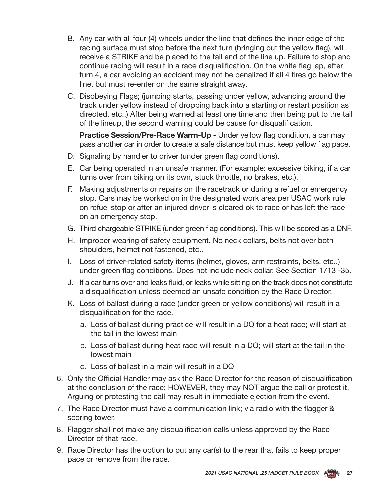- B. Any car with all four (4) wheels under the line that defines the inner edge of the racing surface must stop before the next turn (bringing out the yellow flag), will receive a STRIKE and be placed to the tail end of the line up. Failure to stop and continue racing will result in a race disqualification. On the white flag lap, after turn 4, a car avoiding an accident may not be penalized if all 4 tires go below the line, but must re-enter on the same straight away.
- C. Disobeying Flags; (jumping starts, passing under yellow, advancing around the track under yellow instead of dropping back into a starting or restart position as directed. etc..) After being warned at least one time and then being put to the tail of the lineup, the second warning could be cause for disqualification.

**Practice Session/Pre-Race Warm-Up -** Under yellow flag condition, a car may pass another car in order to create a safe distance but must keep yellow flag pace.

- D. Signaling by handler to driver (under green flag conditions).
- E. Car being operated in an unsafe manner. (For example: excessive biking, if a car turns over from biking on its own, stuck throttle, no brakes, etc.).
- F. Making adjustments or repairs on the racetrack or during a refuel or emergency stop. Cars may be worked on in the designated work area per USAC work rule on refuel stop or after an injured driver is cleared ok to race or has left the race on an emergency stop.
- G. Third chargeable STRIKE (under green flag conditions). This will be scored as a DNF.
- H. Improper wearing of safety equipment. No neck collars, belts not over both shoulders, helmet not fastened, etc..
- I. Loss of driver-related safety items (helmet, gloves, arm restraints, belts, etc..) under green flag conditions. Does not include neck collar. See Section 1713 -35.
- J. If a car turns over and leaks fluid, or leaks while sitting on the track does not constitute a disqualification unless deemed an unsafe condition by the Race Director.
- K. Loss of ballast during a race (under green or yellow conditions) will result in a disqualification for the race.
	- a. Loss of ballast during practice will result in a DQ for a heat race; will start at the tail in the lowest main
	- b. Loss of ballast during heat race will result in a DQ; will start at the tail in the lowest main
	- c. Loss of ballast in a main will result in a DQ
- 6. Only the Official Handler may ask the Race Director for the reason of disqualification at the conclusion of the race; HOWEVER, they may NOT argue the call or protest it. Arguing or protesting the call may result in immediate ejection from the event.
- 7. The Race Director must have a communication link; via radio with the flagger & scoring tower.
- 8. Flagger shall not make any disqualification calls unless approved by the Race Director of that race.
- 9. Race Director has the option to put any car(s) to the rear that fails to keep proper pace or remove from the race.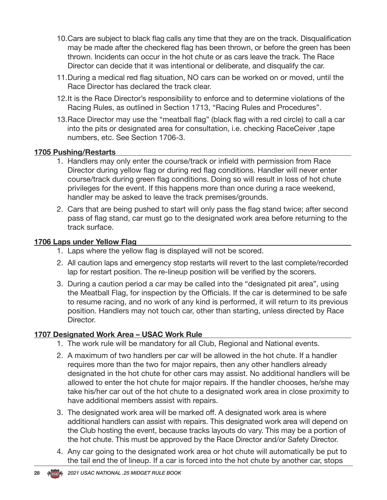- 10.Cars are subject to black flag calls any time that they are on the track. Disqualification may be made after the checkered flag has been thrown, or before the green has been thrown. Incidents can occur in the hot chute or as cars leave the track. The Race Director can decide that it was intentional or deliberate, and disqualify the car.
- 11.During a medical red flag situation, NO cars can be worked on or moved, until the Race Director has declared the track clear.
- 12.It is the Race Director's responsibility to enforce and to determine violations of the Racing Rules, as outlined in Section 1713, "Racing Rules and Procedures".
- 13.Race Director may use the "meatball flag" (black flag with a red circle) to call a car into the pits or designated area for consultation, i.e. checking RaceCeiver ,tape numbers, etc. See Section 1706-3.

### **1705 Pushing/Restarts**

- 1. Handlers may only enter the course/track or infield with permission from Race Director during yellow flag or during red flag conditions. Handler will never enter course/track during green flag conditions. Doing so will result in loss of hot chute privileges for the event. If this happens more than once during a race weekend, handler may be asked to leave the track premises/grounds.
- 2. Cars that are being pushed to start will only pass the flag stand twice; after second pass of flag stand, car must go to the designated work area before returning to the track surface.

### **1706 Laps under Yellow Flag**

- 1. Laps where the yellow flag is displayed will not be scored.
- 2. All caution laps and emergency stop restarts will revert to the last complete/recorded lap for restart position. The re-lineup position will be verified by the scorers.
- 3. During a caution period a car may be called into the "designated pit area", using the Meatball Flag, for inspection by the Officials. If the car is determined to be safe to resume racing, and no work of any kind is performed, it will return to its previous position. Handlers may not touch car, other than starting, unless directed by Race Director.

### **1707 Designated Work Area – USAC Work Rule**

- 1. The work rule will be mandatory for all Club, Regional and National events.
- 2. A maximum of two handlers per car will be allowed in the hot chute. If a handler requires more than the two for major repairs, then any other handlers already designated in the hot chute for other cars may assist. No additional handlers will be allowed to enter the hot chute for major repairs. If the handler chooses, he/she may take his/her car out of the hot chute to a designated work area in close proximity to have additional members assist with repairs.
- 3. The designated work area will be marked off. A designated work area is where additional handlers can assist with repairs. This designated work area will depend on the Club hosting the event, because tracks layouts do vary. This may be a portion of the hot chute. This must be approved by the Race Director and/or Safety Director.
- 4. Any car going to the designated work area or hot chute will automatically be put to the tail end the of lineup. If a car is forced into the hot chute by another car, stops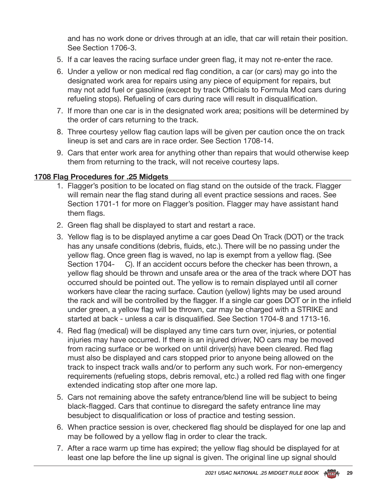and has no work done or drives through at an idle, that car will retain their position. See Section 1706-3.

- 5. If a car leaves the racing surface under green flag, it may not re-enter the race.
- 6. Under a yellow or non medical red flag condition, a car (or cars) may go into the designated work area for repairs using any piece of equipment for repairs, but may not add fuel or gasoline (except by track Officials to Formula Mod cars during refueling stops). Refueling of cars during race will result in disqualification.
- 7. If more than one car is in the designated work area; positions will be determined by the order of cars returning to the track.
- 8. Three courtesy yellow flag caution laps will be given per caution once the on track lineup is set and cars are in race order. See Section 1708-14.
- 9. Cars that enter work area for anything other than repairs that would otherwise keep them from returning to the track, will not receive courtesy laps.

#### **1708 Flag Procedures for .25 Midgets**

- 1. Flagger's position to be located on flag stand on the outside of the track. Flagger will remain near the flag stand during all event practice sessions and races. See Section 1701-1 for more on Flagger's position. Flagger may have assistant hand them flags.
- 2. Green flag shall be displayed to start and restart a race.
- 3. Yellow flag is to be displayed anytime a car goes Dead On Track (DOT) or the track has any unsafe conditions (debris, fluids, etc.). There will be no passing under the yellow flag. Once green flag is waved, no lap is exempt from a yellow flag. (See Section 1704- C). If an accident occurs before the checker has been thrown, a yellow flag should be thrown and unsafe area or the area of the track where DOT has occurred should be pointed out. The yellow is to remain displayed until all corner workers have clear the racing surface. Caution (yellow) lights may be used around the rack and will be controlled by the flagger. If a single car goes DOT or in the infield under green, a yellow flag will be thrown, car may be charged with a STRIKE and started at back - unless a car is disqualified. See Section 1704-8 and 1713-16.
- 4. Red flag (medical) will be displayed any time cars turn over, injuries, or potential injuries may have occurred. If there is an injured driver, NO cars may be moved from racing surface or be worked on until driver(s) have been cleared. Red flag must also be displayed and cars stopped prior to anyone being allowed on the track to inspect track walls and/or to perform any such work. For non-emergency requirements (refueling stops, debris removal, etc.) a rolled red flag with one finger extended indicating stop after one more lap.
- 5. Cars not remaining above the safety entrance/blend line will be subject to being black-flagged. Cars that continue to disregard the safety entrance line may besubject to disqualification or loss of practice and testing session.
- 6. When practice session is over, checkered flag should be displayed for one lap and may be followed by a yellow flag in order to clear the track.
- 7. After a race warm up time has expired; the yellow flag should be displayed for at least one lap before the line up signal is given. The original line up signal should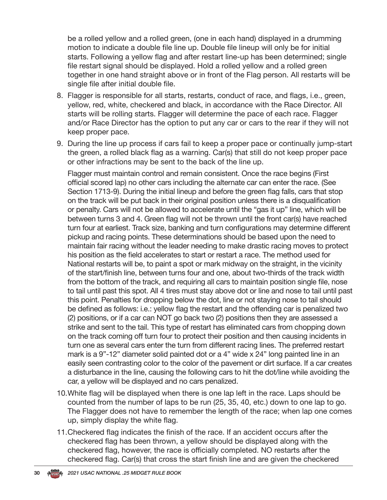be a rolled yellow and a rolled green, (one in each hand) displayed in a drumming motion to indicate a double file line up. Double file lineup will only be for initial starts. Following a yellow flag and after restart line-up has been determined; single file restart signal should be displayed. Hold a rolled yellow and a rolled green together in one hand straight above or in front of the Flag person. All restarts will be single file after initial double file.

- 8. Flagger is responsible for all starts, restarts, conduct of race, and flags, i.e., green, yellow, red, white, checkered and black, in accordance with the Race Director. All starts will be rolling starts. Flagger will determine the pace of each race. Flagger and/or Race Director has the option to put any car or cars to the rear if they will not keep proper pace.
- 9. During the line up process if cars fail to keep a proper pace or continually jump-start the green, a rolled black flag as a warning. Car(s) that still do not keep proper pace or other infractions may be sent to the back of the line up.

Flagger must maintain control and remain consistent. Once the race begins (First official scored lap) no other cars including the alternate car can enter the race. (See Section 1713-9). During the initial lineup and before the green flag falls, cars that stop on the track will be put back in their original position unless there is a disqualification or penalty. Cars will not be allowed to accelerate until the "gas it up" line, which will be between turns 3 and 4. Green flag will not be thrown until the front car(s) have reached turn four at earliest. Track size, banking and turn configurations may determine different pickup and racing points. These determinations should be based upon the need to maintain fair racing without the leader needing to make drastic racing moves to protect his position as the field accelerates to start or restart a race. The method used for National restarts will be, to paint a spot or mark midway on the straight, in the vicinity of the start/finish line, between turns four and one, about two-thirds of the track width from the bottom of the track, and requiring all cars to maintain position single file, nose to tail until past this spot. All 4 tires must stay above dot or line and nose to tail until past this point. Penalties for dropping below the dot, line or not staying nose to tail should be defined as follows: i.e.: yellow flag the restart and the offending car is penalized two (2) positions, or if a car can NOT go back two (2) positions then they are assessed a strike and sent to the tail. This type of restart has eliminated cars from chopping down on the track coming off turn four to protect their position and then causing incidents in turn one as several cars enter the turn from different racing lines. The preferred restart mark is a 9"-12" diameter solid painted dot or a 4" wide x 24" long painted line in an easily seen contrasting color to the color of the pavement or dirt surface. If a car creates a disturbance in the line, causing the following cars to hit the dot/line while avoiding the car, a yellow will be displayed and no cars penalized.

- 10.White flag will be displayed when there is one lap left in the race. Laps should be counted from the number of laps to be run (25, 35, 40, etc.) down to one lap to go. The Flagger does not have to remember the length of the race; when lap one comes up, simply display the white flag.
- 11.Checkered flag indicates the finish of the race. If an accident occurs after the checkered flag has been thrown, a yellow should be displayed along with the checkered flag, however, the race is officially completed. NO restarts after the checkered flag. Car(s) that cross the start finish line and are given the checkered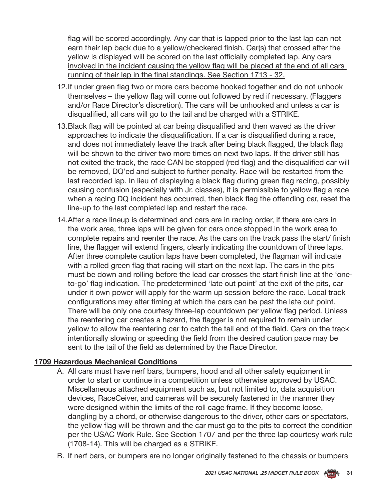flag will be scored accordingly. Any car that is lapped prior to the last lap can not earn their lap back due to a yellow/checkered finish. Car(s) that crossed after the yellow is displayed will be scored on the last officially completed lap. Any cars involved in the incident causing the yellow flag will be placed at the end of all cars running of their lap in the final standings. See Section 1713 - 32.

- 12.If under green flag two or more cars become hooked together and do not unhook themselves – the yellow flag will come out followed by red if necessary. (Flaggers and/or Race Director's discretion). The cars will be unhooked and unless a car is disqualified, all cars will go to the tail and be charged with a STRIKE.
- 13.Black flag will be pointed at car being disqualified and then waved as the driver approaches to indicate the disqualification. If a car is disqualified during a race, and does not immediately leave the track after being black flagged, the black flag will be shown to the driver two more times on next two laps. If the driver still has not exited the track, the race CAN be stopped (red flag) and the disqualified car will be removed, DQ'ed and subject to further penalty. Race will be restarted from the last recorded lap. In lieu of displaying a black flag during green flag racing, possibly causing confusion (especially with Jr. classes), it is permissible to yellow flag a race when a racing DQ incident has occurred, then black flag the offending car, reset the line-up to the last completed lap and restart the race.
- 14.After a race lineup is determined and cars are in racing order, if there are cars in the work area, three laps will be given for cars once stopped in the work area to complete repairs and reenter the race. As the cars on the track pass the start/ finish line, the flagger will extend fingers, clearly indicating the countdown of three laps. After three complete caution laps have been completed, the flagman will indicate with a rolled green flag that racing will start on the next lap. The cars in the pits must be down and rolling before the lead car crosses the start finish line at the 'oneto-go' flag indication. The predetermined 'late out point' at the exit of the pits, car under it own power will apply for the warm up session before the race. Local track configurations may alter timing at which the cars can be past the late out point. There will be only one courtesy three-lap countdown per yellow flag period. Unless the reentering car creates a hazard, the flagger is not required to remain under yellow to allow the reentering car to catch the tail end of the field. Cars on the track intentionally slowing or speeding the field from the desired caution pace may be sent to the tail of the field as determined by the Race Director.

### **1709 Hazardous Mechanical Conditions**

- A. All cars must have nerf bars, bumpers, hood and all other safety equipment in order to start or continue in a competition unless otherwise approved by USAC. Miscellaneous attached equipment such as, but not limited to, data acquisition devices, RaceCeiver, and cameras will be securely fastened in the manner they were designed within the limits of the roll cage frame. If they become loose, dangling by a chord, or otherwise dangerous to the driver, other cars or spectators, the yellow flag will be thrown and the car must go to the pits to correct the condition per the USAC Work Rule. See Section 1707 and per the three lap courtesy work rule (1708-14). This will be charged as a STRIKE.
- B. If nerf bars, or bumpers are no longer originally fastened to the chassis or bumpers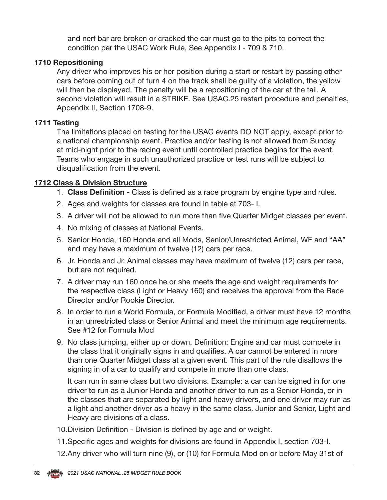and nerf bar are broken or cracked the car must go to the pits to correct the condition per the USAC Work Rule, See Appendix I - 709 & 710.

### **1710 Repositioning**

Any driver who improves his or her position during a start or restart by passing other cars before coming out of turn 4 on the track shall be guilty of a violation, the yellow will then be displayed. The penalty will be a repositioning of the car at the tail. A second violation will result in a STRIKE. See USAC.25 restart procedure and penalties, Appendix II, Section 1708-9.

#### **1711 Testing**

The limitations placed on testing for the USAC events DO NOT apply, except prior to a national championship event. Practice and/or testing is not allowed from Sunday at mid-night prior to the racing event until controlled practice begins for the event. Teams who engage in such unauthorized practice or test runs will be subject to disqualification from the event.

#### **1712 Class & Division Structure**

- 1. **Class Definition**  Class is defined as a race program by engine type and rules.
- 2. Ages and weights for classes are found in table at 703- I.
- 3. A driver will not be allowed to run more than five Quarter Midget classes per event.
- 4. No mixing of classes at National Events.
- 5. Senior Honda, 160 Honda and all Mods, Senior/Unrestricted Animal, WF and "AA" and may have a maximum of twelve (12) cars per race.
- 6. Jr. Honda and Jr. Animal classes may have maximum of twelve (12) cars per race, but are not required.
- 7. A driver may run 160 once he or she meets the age and weight requirements for the respective class (Light or Heavy 160) and receives the approval from the Race Director and/or Rookie Director.
- 8. In order to run a World Formula, or Formula Modified, a driver must have 12 months in an unrestricted class or Senior Animal and meet the minimum age requirements. See #12 for Formula Mod
- 9. No class jumping, either up or down. Definition: Engine and car must compete in the class that it originally signs in and qualifies. A car cannot be entered in more than one Quarter Midget class at a given event. This part of the rule disallows the signing in of a car to qualify and compete in more than one class.

It can run in same class but two divisions. Example: a car can be signed in for one driver to run as a Junior Honda and another driver to run as a Senior Honda, or in the classes that are separated by light and heavy drivers, and one driver may run as a light and another driver as a heavy in the same class. Junior and Senior, Light and Heavy are divisions of a class.

- 10.Division Definition Division is defined by age and or weight.
- 11.Specific ages and weights for divisions are found in Appendix I, section 703-I.
- 12.Any driver who will turn nine (9), or (10) for Formula Mod on or before May 31st of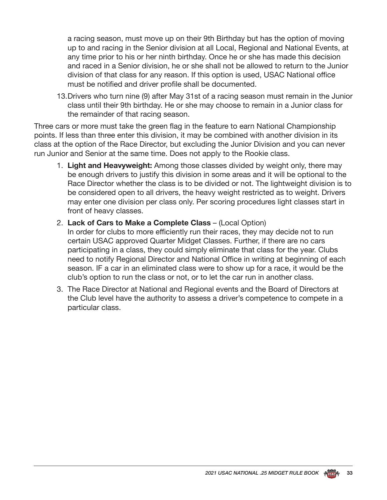a racing season, must move up on their 9th Birthday but has the option of moving up to and racing in the Senior division at all Local, Regional and National Events, at any time prior to his or her ninth birthday. Once he or she has made this decision and raced in a Senior division, he or she shall not be allowed to return to the Junior division of that class for any reason. If this option is used, USAC National office must be notified and driver profile shall be documented.

13.Drivers who turn nine (9) after May 31st of a racing season must remain in the Junior class until their 9th birthday. He or she may choose to remain in a Junior class for the remainder of that racing season.

Three cars or more must take the green flag in the feature to earn National Championship points. If less than three enter this division, it may be combined with another division in its class at the option of the Race Director, but excluding the Junior Division and you can never run Junior and Senior at the same time. Does not apply to the Rookie class.

- 1. **Light and Heavyweight:** Among those classes divided by weight only, there may be enough drivers to justify this division in some areas and it will be optional to the Race Director whether the class is to be divided or not. The lightweight division is to be considered open to all drivers, the heavy weight restricted as to weight. Drivers may enter one division per class only. Per scoring procedures light classes start in front of heavy classes.
- 2. **Lack of Cars to Make a Complete Class**  (Local Option)

In order for clubs to more efficiently run their races, they may decide not to run certain USAC approved Quarter Midget Classes. Further, if there are no cars participating in a class, they could simply eliminate that class for the year. Clubs need to notify Regional Director and National Office in writing at beginning of each season. IF a car in an eliminated class were to show up for a race, it would be the club's option to run the class or not, or to let the car run in another class.

3. The Race Director at National and Regional events and the Board of Directors at the Club level have the authority to assess a driver's competence to compete in a particular class.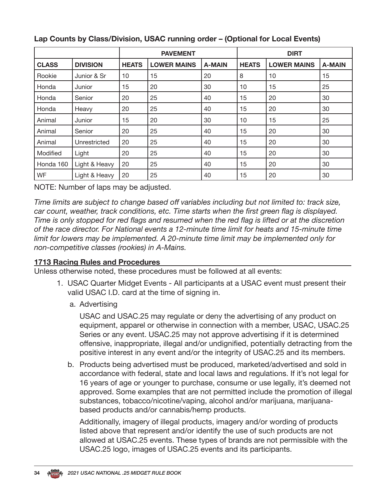|              |                 |              | <b>PAVEMENT</b>    |               | <b>DIRT</b>  |                    |               |  |
|--------------|-----------------|--------------|--------------------|---------------|--------------|--------------------|---------------|--|
| <b>CLASS</b> | <b>DIVISION</b> | <b>HEATS</b> | <b>LOWER MAINS</b> | <b>A-MAIN</b> | <b>HEATS</b> | <b>LOWER MAINS</b> | <b>A-MAIN</b> |  |
| Rookie       | Junior & Sr     | 10           | 15                 | 20            | 8            | 10                 | 15            |  |
| Honda        | Junior          | 15           | 20                 | 30            | 10           | 15                 | 25            |  |
| Honda        | Senior          | 20           | 25                 | 40            | 15           | 20                 | 30            |  |
| Honda        | Heavy           | 20           | 25                 | 40            | 15           | 20                 | 30            |  |
| Animal       | Junior          | 15           | 20                 | 30            | 10           | 15                 | 25            |  |
| Animal       | Senior          | 20           | 25                 | 40            | 15           | 20                 | 30            |  |
| Animal       | Unrestricted    | 20           | 25                 | 40            | 15           | 20                 | 30            |  |
| Modified     | Light           | 20           | 25                 | 40            | 15           | 20                 | 30            |  |
| Honda 160    | Light & Heavy   | 20           | 25                 | 40            | 15           | 20                 | 30            |  |
| WF           | Light & Heavy   | 20           | 25                 | 40            | 15           | 20                 | 30            |  |

### **Lap Counts by Class/Division, USAC running order – (Optional for Local Events)**

NOTE: Number of laps may be adjusted.

*Time limits are subject to change based off variables including but not limited to: track size, car count, weather, track conditions, etc. Time starts when the first green flag is displayed. Time is only stopped for red flags and resumed when the red flag is lifted or at the discretion of the race director. For National events a 12-minute time limit for heats and 15-minute time limit for lowers may be implemented. A 20-minute time limit may be implemented only for non-competitive classes (rookies) in A-Mains.*

### **1713 Racing Rules and Procedures**

Unless otherwise noted, these procedures must be followed at all events:

- 1. USAC Quarter Midget Events All participants at a USAC event must present their valid USAC I.D. card at the time of signing in.
	- a. Advertising

USAC and USAC.25 may regulate or deny the advertising of any product on equipment, apparel or otherwise in connection with a member, USAC, USAC.25 Series or any event. USAC.25 may not approve advertising if it is determined offensive, inappropriate, illegal and/or undignified, potentially detracting from the positive interest in any event and/or the integrity of USAC.25 and its members.

b. Products being advertised must be produced, marketed/advertised and sold in accordance with federal, state and local laws and regulations. If it's not legal for 16 years of age or younger to purchase, consume or use legally, it's deemed not approved. Some examples that are not permitted include the promotion of illegal substances, tobacco/nicotine/vaping, alcohol and/or marijuana, marijuanabased products and/or cannabis/hemp products.

Additionally, imagery of illegal products, imagery and/or wording of products listed above that represent and/or identify the use of such products are not allowed at USAC.25 events. These types of brands are not permissible with the USAC.25 logo, images of USAC.25 events and its participants.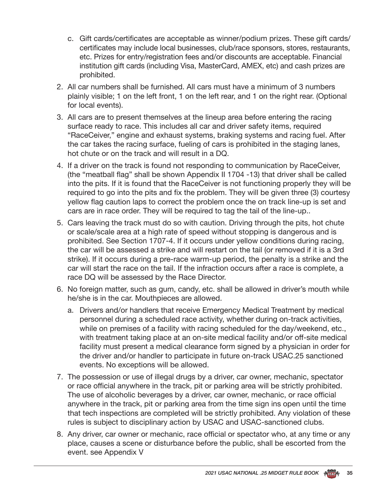- c. Gift cards/certificates are acceptable as winner/podium prizes. These gift cards/ certificates may include local businesses, club/race sponsors, stores, restaurants, etc. Prizes for entry/registration fees and/or discounts are acceptable. Financial institution gift cards (including Visa, MasterCard, AMEX, etc) and cash prizes are prohibited.
- 2. All car numbers shall be furnished. All cars must have a minimum of 3 numbers plainly visible; 1 on the left front, 1 on the left rear, and 1 on the right rear. (Optional for local events).
- 3. All cars are to present themselves at the lineup area before entering the racing surface ready to race. This includes all car and driver safety items, required "RaceCeiver," engine and exhaust systems, braking systems and racing fuel. After the car takes the racing surface, fueling of cars is prohibited in the staging lanes, hot chute or on the track and will result in a DQ.
- 4. If a driver on the track is found not responding to communication by RaceCeiver, (the "meatball flag" shall be shown Appendix II 1704 -13) that driver shall be called into the pits. If it is found that the RaceCeiver is not functioning properly they will be required to go into the pits and fix the problem. They will be given three (3) courtesy yellow flag caution laps to correct the problem once the on track line-up is set and cars are in race order. They will be required to tag the tail of the line-up..
- 5. Cars leaving the track must do so with caution. Driving through the pits, hot chute or scale/scale area at a high rate of speed without stopping is dangerous and is prohibited. See Section 1707-4. If it occurs under yellow conditions during racing, the car will be assessed a strike and will restart on the tail (or removed if it is a 3rd strike). If it occurs during a pre-race warm-up period, the penalty is a strike and the car will start the race on the tail. If the infraction occurs after a race is complete, a race DQ will be assessed by the Race Director.
- 6. No foreign matter, such as gum, candy, etc. shall be allowed in driver's mouth while he/she is in the car. Mouthpieces are allowed.
	- a. Drivers and/or handlers that receive Emergency Medical Treatment by medical personnel during a scheduled race activity, whether during on-track activities, while on premises of a facility with racing scheduled for the day/weekend, etc., with treatment taking place at an on-site medical facility and/or off-site medical facility must present a medical clearance form signed by a physician in order for the driver and/or handler to participate in future on-track USAC.25 sanctioned events. No exceptions will be allowed.
- 7. The possession or use of illegal drugs by a driver, car owner, mechanic, spectator or race official anywhere in the track, pit or parking area will be strictly prohibited. The use of alcoholic beverages by a driver, car owner, mechanic, or race official anywhere in the track, pit or parking area from the time sign ins open until the time that tech inspections are completed will be strictly prohibited. Any violation of these rules is subject to disciplinary action by USAC and USAC-sanctioned clubs.
- 8. Any driver, car owner or mechanic, race official or spectator who, at any time or any place, causes a scene or disturbance before the public, shall be escorted from the event. see Appendix V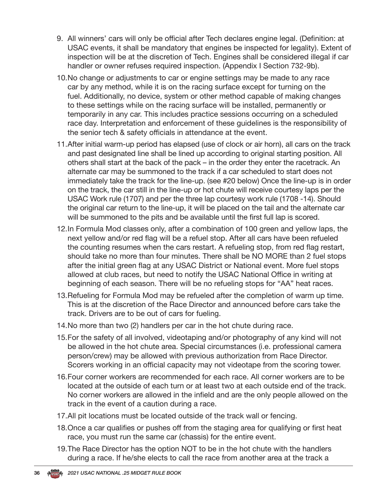- 9. All winners' cars will only be official after Tech declares engine legal. (Definition: at USAC events, it shall be mandatory that engines be inspected for legality). Extent of inspection will be at the discretion of Tech. Engines shall be considered illegal if car handler or owner refuses required inspection. (Appendix I Section 732-9b).
- 10.No change or adjustments to car or engine settings may be made to any race car by any method, while it is on the racing surface except for turning on the fuel. Additionally, no device, system or other method capable of making changes to these settings while on the racing surface will be installed, permanently or temporarily in any car. This includes practice sessions occurring on a scheduled race day. Interpretation and enforcement of these guidelines is the responsibility of the senior tech & safety officials in attendance at the event.
- 11.After initial warm-up period has elapsed (use of clock or air horn), all cars on the track and past designated line shall be lined up according to original starting position. All others shall start at the back of the pack – in the order they enter the racetrack. An alternate car may be summoned to the track if a car scheduled to start does not immediately take the track for the line-up. (see #20 below) Once the line-up is in order on the track, the car still in the line-up or hot chute will receive courtesy laps per the USAC Work rule (1707) and per the three lap courtesy work rule (1708 -14). Should the original car return to the line-up, it will be placed on the tail and the alternate car will be summoned to the pits and be available until the first full lap is scored.
- 12.In Formula Mod classes only, after a combination of 100 green and yellow laps, the next yellow and/or red flag will be a refuel stop. After all cars have been refueled the counting resumes when the cars restart. A refueling stop, from red flag restart, should take no more than four minutes. There shall be NO MORE than 2 fuel stops after the initial green flag at any USAC District or National event. More fuel stops allowed at club races, but need to notify the USAC National Office in writing at beginning of each season. There will be no refueling stops for "AA" heat races.
- 13.Refueling for Formula Mod may be refueled after the completion of warm up time. This is at the discretion of the Race Director and announced before cars take the track. Drivers are to be out of cars for fueling.
- 14.No more than two (2) handlers per car in the hot chute during race.
- 15.For the safety of all involved, videotaping and/or photography of any kind will not be allowed in the hot chute area. Special circumstances (i.e. professional camera person/crew) may be allowed with previous authorization from Race Director. Scorers working in an official capacity may not videotape from the scoring tower.
- 16.Four corner workers are recommended for each race. All corner workers are to be located at the outside of each turn or at least two at each outside end of the track. No corner workers are allowed in the infield and are the only people allowed on the track in the event of a caution during a race.
- 17.All pit locations must be located outside of the track wall or fencing.
- 18.Once a car qualifies or pushes off from the staging area for qualifying or first heat race, you must run the same car (chassis) for the entire event.
- 19.The Race Director has the option NOT to be in the hot chute with the handlers during a race. If he/she elects to call the race from another area at the track a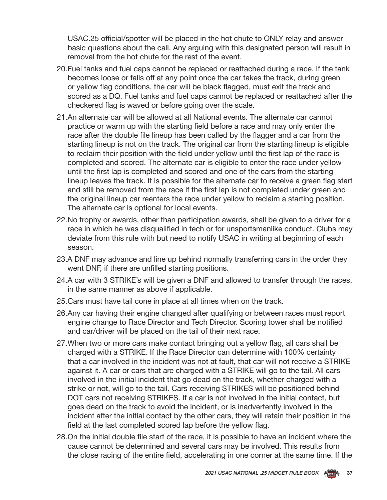USAC.25 official/spotter will be placed in the hot chute to ONLY relay and answer basic questions about the call. Any arguing with this designated person will result in removal from the hot chute for the rest of the event.

- 20.Fuel tanks and fuel caps cannot be replaced or reattached during a race. If the tank becomes loose or falls off at any point once the car takes the track, during green or yellow flag conditions, the car will be black flagged, must exit the track and scored as a DQ. Fuel tanks and fuel caps cannot be replaced or reattached after the checkered flag is waved or before going over the scale.
- 21.An alternate car will be allowed at all National events. The alternate car cannot practice or warm up with the starting field before a race and may only enter the race after the double file lineup has been called by the flagger and a car from the starting lineup is not on the track. The original car from the starting lineup is eligible to reclaim their position with the field under yellow until the first lap of the race is completed and scored. The alternate car is eligible to enter the race under yellow until the first lap is completed and scored and one of the cars from the starting lineup leaves the track. It is possible for the alternate car to receive a green flag start and still be removed from the race if the first lap is not completed under green and the original lineup car reenters the race under yellow to reclaim a starting position. The alternate car is optional for local events.
- 22.No trophy or awards, other than participation awards, shall be given to a driver for a race in which he was disqualified in tech or for unsportsmanlike conduct. Clubs may deviate from this rule with but need to notify USAC in writing at beginning of each season.
- 23.A DNF may advance and line up behind normally transferring cars in the order they went DNF, if there are unfilled starting positions.
- 24.A car with 3 STRIKE's will be given a DNF and allowed to transfer through the races, in the same manner as above if applicable.
- 25.Cars must have tail cone in place at all times when on the track.
- 26.Any car having their engine changed after qualifying or between races must report engine change to Race Director and Tech Director. Scoring tower shall be notified and car/driver will be placed on the tail of their next race.
- 27.When two or more cars make contact bringing out a yellow flag, all cars shall be charged with a STRIKE. If the Race Director can determine with 100% certainty that a car involved in the incident was not at fault, that car will not receive a STRIKE against it. A car or cars that are charged with a STRIKE will go to the tail. All cars involved in the initial incident that go dead on the track, whether charged with a strike or not, will go to the tail. Cars receiving STRIKES will be positioned behind DOT cars not receiving STRIKES. If a car is not involved in the initial contact, but goes dead on the track to avoid the incident, or is inadvertently involved in the incident after the initial contact by the other cars, they will retain their position in the field at the last completed scored lap before the yellow flag.
- 28.On the initial double file start of the race, it is possible to have an incident where the cause cannot be determined and several cars may be involved. This results from the close racing of the entire field, accelerating in one corner at the same time. If the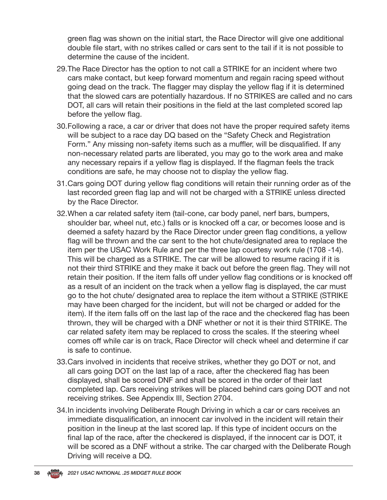green flag was shown on the initial start, the Race Director will give one additional double file start, with no strikes called or cars sent to the tail if it is not possible to determine the cause of the incident.

- 29.The Race Director has the option to not call a STRIKE for an incident where two cars make contact, but keep forward momentum and regain racing speed without going dead on the track. The flagger may display the yellow flag if it is determined that the slowed cars are potentially hazardous. If no STRIKES are called and no cars DOT, all cars will retain their positions in the field at the last completed scored lap before the yellow flag.
- 30.Following a race, a car or driver that does not have the proper required safety items will be subject to a race day DQ based on the "Safety Check and Registration Form." Any missing non-safety items such as a muffler, will be disqualified. If any non-necessary related parts are liberated, you may go to the work area and make any necessary repairs if a yellow flag is displayed. If the flagman feels the track conditions are safe, he may choose not to display the yellow flag.
- 31.Cars going DOT during yellow flag conditions will retain their running order as of the last recorded green flag lap and will not be charged with a STRIKE unless directed by the Race Director.
- 32.When a car related safety item (tail-cone, car body panel, nerf bars, bumpers, shoulder bar, wheel nut, etc.) falls or is knocked off a car, or becomes loose and is deemed a safety hazard by the Race Director under green flag conditions, a yellow flag will be thrown and the car sent to the hot chute/designated area to replace the item per the USAC Work Rule and per the three lap courtesy work rule (1708 -14). This will be charged as a STRIKE. The car will be allowed to resume racing if it is not their third STRIKE and they make it back out before the green flag. They will not retain their position. If the item falls off under yellow flag conditions or is knocked off as a result of an incident on the track when a yellow flag is displayed, the car must go to the hot chute/ designated area to replace the item without a STRIKE (STRIKE may have been charged for the incident, but will not be charged or added for the item). If the item falls off on the last lap of the race and the checkered flag has been thrown, they will be charged with a DNF whether or not it is their third STRIKE. The car related safety item may be replaced to cross the scales. If the steering wheel comes off while car is on track, Race Director will check wheel and determine if car is safe to continue.
- 33.Cars involved in incidents that receive strikes, whether they go DOT or not, and all cars going DOT on the last lap of a race, after the checkered flag has been displayed, shall be scored DNF and shall be scored in the order of their last completed lap. Cars receiving strikes will be placed behind cars going DOT and not receiving strikes. See Appendix III, Section 2704.
- 34.In incidents involving Deliberate Rough Driving in which a car or cars receives an immediate disqualification, an innocent car involved in the incident will retain their position in the lineup at the last scored lap. If this type of incident occurs on the final lap of the race, after the checkered is displayed, if the innocent car is DOT, it will be scored as a DNF without a strike. The car charged with the Deliberate Rough Driving will receive a DQ.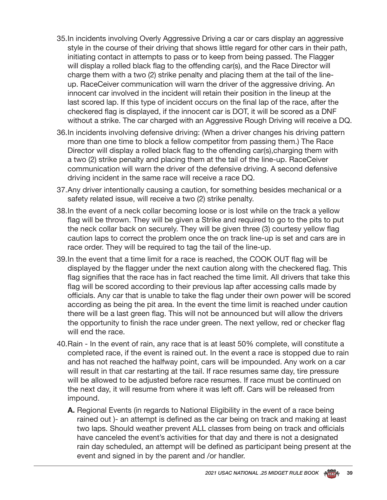- 35.In incidents involving Overly Aggressive Driving a car or cars display an aggressive style in the course of their driving that shows little regard for other cars in their path, initiating contact in attempts to pass or to keep from being passed. The Flagger will display a rolled black flag to the offending car(s), and the Race Director will charge them with a two (2) strike penalty and placing them at the tail of the lineup. RaceCeiver communication will warn the driver of the aggressive driving. An innocent car involved in the incident will retain their position in the lineup at the last scored lap. If this type of incident occurs on the final lap of the race, after the checkered flag is displayed, if the innocent car is DOT, it will be scored as a DNF without a strike. The car charged with an Aggressive Rough Driving will receive a DQ.
- 36.In incidents involving defensive driving: (When a driver changes his driving pattern more than one time to block a fellow competitor from passing them.) The Race Director will display a rolled black flag to the offending car(s),charging them with a two (2) strike penalty and placing them at the tail of the line-up. RaceCeiver communication will warn the driver of the defensive driving. A second defensive driving incident in the same race will receive a race DQ.
- 37.Any driver intentionally causing a caution, for something besides mechanical or a safety related issue, will receive a two (2) strike penalty.
- 38.In the event of a neck collar becoming loose or is lost while on the track a yellow flag will be thrown. They will be given a Strike and required to go to the pits to put the neck collar back on securely. They will be given three (3) courtesy yellow flag caution laps to correct the problem once the on track line-up is set and cars are in race order. They will be required to tag the tail of the line-up.
- 39.In the event that a time limit for a race is reached, the COOK OUT flag will be displayed by the flagger under the next caution along with the checkered flag. This flag signifies that the race has in fact reached the time limit. All drivers that take this flag will be scored according to their previous lap after accessing calls made by officials. Any car that is unable to take the flag under their own power will be scored according as being the pit area. In the event the time limit is reached under caution there will be a last green flag. This will not be announced but will allow the drivers the opportunity to finish the race under green. The next yellow, red or checker flag will end the race.
- 40.Rain In the event of rain, any race that is at least 50% complete, will constitute a completed race, if the event is rained out. In the event a race is stopped due to rain and has not reached the halfway point, cars will be impounded. Any work on a car will result in that car restarting at the tail. If race resumes same day, tire pressure will be allowed to be adjusted before race resumes. If race must be continued on the next day, it will resume from where it was left off. Cars will be released from impound.
	- **A.** Regional Events (in regards to National Eligibility in the event of a race being rained out )- an attempt is defined as the car being on track and making at least two laps. Should weather prevent ALL classes from being on track and officials have canceled the event's activities for that day and there is not a designated rain day scheduled, an attempt will be defined as participant being present at the event and signed in by the parent and /or handler.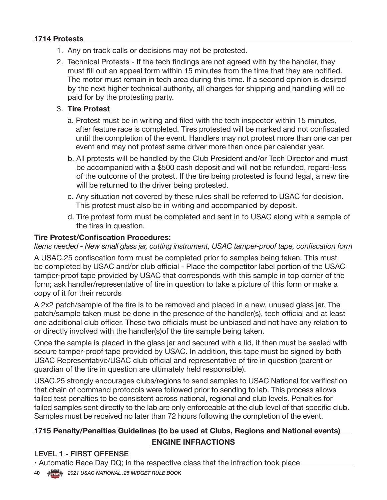### **1714 Protests**

- 1. Any on track calls or decisions may not be protested.
- 2. Technical Protests If the tech findings are not agreed with by the handler, they must fill out an appeal form within 15 minutes from the time that they are notified. The motor must remain in tech area during this time. If a second opinion is desired by the next higher technical authority, all charges for shipping and handling will be paid for by the protesting party.

### 3. **Tire Protest**

- a. Protest must be in writing and filed with the tech inspector within 15 minutes, after feature race is completed. Tires protested will be marked and not confiscated until the completion of the event. Handlers may not protest more than one car per event and may not protest same driver more than once per calendar year.
- b. All protests will be handled by the Club President and/or Tech Director and must be accompanied with a \$500 cash deposit and will not be refunded, regard-less of the outcome of the protest. If the tire being protested is found legal, a new tire will be returned to the driver being protested.
- c. Any situation not covered by these rules shall be referred to USAC for decision. This protest must also be in writing and accompanied by deposit.
- d. Tire protest form must be completed and sent in to USAC along with a sample of the tires in question.

### **Tire Protest/Confiscation Procedures:**

*Items needed - New small glass jar, cutting instrument, USAC tamper-proof tape, confiscation form* 

A USAC.25 confiscation form must be completed prior to samples being taken. This must be completed by USAC and/or club official - Place the competitor label portion of the USAC tamper-proof tape provided by USAC that corresponds with this sample in top corner of the form; ask handler/representative of tire in question to take a picture of this form or make a copy of it for their records

A 2x2 patch/sample of the tire is to be removed and placed in a new, unused glass jar. The patch/sample taken must be done in the presence of the handler(s), tech official and at least one additional club officer. These two officials must be unbiased and not have any relation to or directly involved with the handler(s)of the tire sample being taken.

Once the sample is placed in the glass jar and secured with a lid, it then must be sealed with secure tamper-proof tape provided by USAC. In addition, this tape must be signed by both USAC Representative/USAC club official and representative of tire in question (parent or guardian of the tire in question are ultimately held responsible).

USAC.25 strongly encourages clubs/regions to send samples to USAC National for verification that chain of command protocols were followed prior to sending to lab. This process allows failed test penalties to be consistent across national, regional and club levels. Penalties for failed samples sent directly to the lab are only enforceable at the club level of that specific club. Samples must be received no later than 72 hours following the completion of the event.

### **1715 Penalty/Penalties Guidelines (to be used at Clubs, Regions and National events) ENGINE INFRACTIONS**

### LEVEL 1 - FIRST OFFENSE

• Automatic Race Day DQ; in the respective class that the infraction took place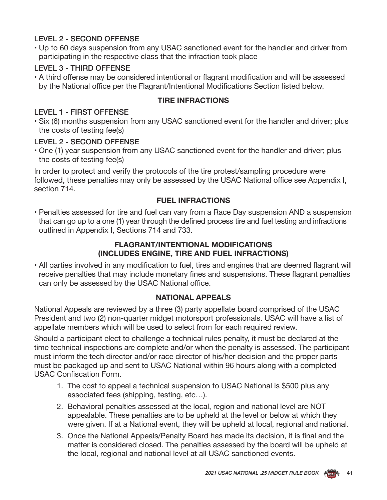### LEVEL 2 - SECOND OFFENSE

• Up to 60 days suspension from any USAC sanctioned event for the handler and driver from participating in the respective class that the infraction took place

### LEVEL 3 - THIRD OFFENSE

• A third offense may be considered intentional or flagrant modification and will be assessed by the National office per the Flagrant/Intentional Modifications Section listed below.

### **TIRE INFRACTIONS**

### LEVEL 1 - FIRST OFFENSE

• Six (6) months suspension from any USAC sanctioned event for the handler and driver; plus the costs of testing fee(s)

### LEVEL 2 - SECOND OFFENSE

• One (1) year suspension from any USAC sanctioned event for the handler and driver; plus the costs of testing fee(s)

In order to protect and verify the protocols of the tire protest/sampling procedure were followed, these penalties may only be assessed by the USAC National office see Appendix I, section 714.

### **FUEL INFRACTIONS**

• Penalties assessed for tire and fuel can vary from a Race Day suspension AND a suspension that can go up to a one (1) year through the defined process tire and fuel testing and infractions outlined in Appendix I, Sections 714 and 733.

### **FLAGRANT/INTENTIONAL MODIFICATIONS (INCLUDES ENGINE, TIRE AND FUEL INFRACTIONS)**

• All parties involved in any modification to fuel, tires and engines that are deemed flagrant will receive penalties that may include monetary fines and suspensions. These flagrant penalties can only be assessed by the USAC National office.

### **NATIONAL APPEALS**

National Appeals are reviewed by a three (3) party appellate board comprised of the USAC President and two (2) non-quarter midget motorsport professionals. USAC will have a list of appellate members which will be used to select from for each required review.

Should a participant elect to challenge a technical rules penalty, it must be declared at the time technical inspections are complete and/or when the penalty is assessed. The participant must inform the tech director and/or race director of his/her decision and the proper parts must be packaged up and sent to USAC National within 96 hours along with a completed USAC Confiscation Form.

- 1. The cost to appeal a technical suspension to USAC National is \$500 plus any associated fees (shipping, testing, etc…).
- 2. Behavioral penalties assessed at the local, region and national level are NOT appealable. These penalties are to be upheld at the level or below at which they were given. If at a National event, they will be upheld at local, regional and national.
- 3. Once the National Appeals/Penalty Board has made its decision, it is final and the matter is considered closed. The penalties assessed by the board will be upheld at the local, regional and national level at all USAC sanctioned events.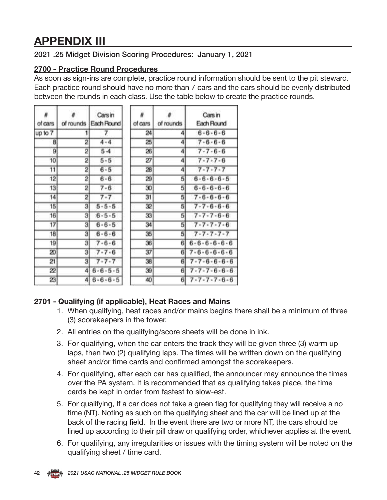## **APPENDIX III**

### 2021 .25 Midget Division Scoring Procedures: January 1, 2021

### **2700 - Practice Round Procedures**

As soon as sign-ins are complete, practice round information should be sent to the pit steward. Each practice round should have no more than 7 cars and the cars should be evenly distributed between the rounds in each class. Use the table below to create the practice rounds.

| of cars | of rounds | Cars in<br>Each Round | of cars | of rounds | Cars in<br>Each Round   |
|---------|-----------|-----------------------|---------|-----------|-------------------------|
| up to 7 |           | 7                     | 24      | 4         | $6 - 6 - 6 - 6$         |
| 8       | 2         | $4 - 4$               | 25      | 4         | $7 - 6 - 6 - 6$         |
| 9       | 2         | $5 - 4$               | 26      | 4         | $7 - 7 - 6 - 6$         |
| 10      | 2         | $5 - 5$               | 27      | 4         | $7 - 7 - 7 - 6$         |
| 11      | 2         | $6 - 5$               | 28      | 4         | $7 - 7 - 7 - 7$         |
| 12      | 2         | $6 - 6$               | 29      | 5         | $6 - 6 - 6 - 6 - 5$     |
| 13      | 2         | $7 - 6$               | 30      | 5         | $6 - 6 - 6 - 6$         |
| 14      | 2         | $7 - 7$               | 31      | 5         | $7 - 6 - 6 - 6 - 6$     |
| 15      | 3         | $5 - 5 - 5$           | 32      | 5         | $7 - 7 - 6 - 6 - 6$     |
| 16      | 3         | $6 - 5 - 5$           | 33      | 5         | $7 - 7 - 7 - 6 - 6$     |
| 17      | 3         | $6 - 6 - 5$           | 34      | 5         | $7 - 7 - 7 - 7 - 6$     |
| 18      | 3         | $6 - 6 - 6$           | 35      | 5         | $7 - 7 - 7 - 7 - 7$     |
| 19      | з         | $7 - 6 - 6$           | 36      | 6         | $6 - 6 - 6 - 6 - 6$     |
| 20      | 3         | $7 - 7 - 6$           | 37      | 6         | $7 - 6 - 6 - 6 - 6$     |
| 21      | з         | $7 - 7 - 7$           | 38      | 6         | $7 - 7 - 6 - 6 - 6 - 6$ |
| 22      | 4         | $6 - 6 - 5 - 5$       | 39      | 61        | $7 - 7 - 7 - 6 - 6 - 6$ |
| 23      | 41        | $6 - 6 - 6 - 5$       | 40      | 6         | $7 - 7 - 7 - 7 - 6 - 6$ |

### **2701 - Qualifying (if applicable), Heat Races and Mains**

- 1. When qualifying, heat races and/or mains begins there shall be a minimum of three (3) scorekeepers in the tower.
- 2. All entries on the qualifying/score sheets will be done in ink.
- 3. For qualifying, when the car enters the track they will be given three (3) warm up laps, then two (2) qualifying laps. The times will be written down on the qualifying sheet and/or time cards and confirmed amongst the scorekeepers.
- 4. For qualifying, after each car has qualified, the announcer may announce the times over the PA system. It is recommended that as qualifying takes place, the time cards be kept in order from fastest to slow-est.
- 5. For qualifying, If a car does not take a green flag for qualifying they will receive a no time (NT). Noting as such on the qualifying sheet and the car will be lined up at the back of the racing field. In the event there are two or more NT, the cars should be lined up according to their pill draw or qualifying order, whichever applies at the event.
- 6. For qualifying, any irregularities or issues with the timing system will be noted on the qualifying sheet / time card.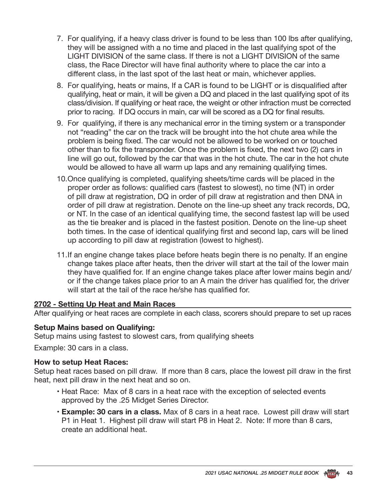- 7. For qualifying, if a heavy class driver is found to be less than 100 lbs after qualifying, they will be assigned with a no time and placed in the last qualifying spot of the LIGHT DIVISION of the same class. If there is not a LIGHT DIVISION of the same class, the Race Director will have final authority where to place the car into a different class, in the last spot of the last heat or main, whichever applies.
- 8. For qualifying, heats or mains, If a CAR is found to be LIGHT or is disqualified after qualifying, heat or main, it will be given a DQ and placed in the last qualifying spot of its class/division. If qualifying or heat race, the weight or other infraction must be corrected prior to racing. If DQ occurs in main, car will be scored as a DQ for final results.
- 9. For qualifying, if there is any mechanical error in the timing system or a transponder not "reading" the car on the track will be brought into the hot chute area while the problem is being fixed. The car would not be allowed to be worked on or touched other than to fix the transponder. Once the problem is fixed, the next two (2) cars in line will go out, followed by the car that was in the hot chute. The car in the hot chute would be allowed to have all warm up laps and any remaining qualifying times.
- 10.Once qualifying is completed, qualifying sheets/time cards will be placed in the proper order as follows: qualified cars (fastest to slowest), no time (NT) in order of pill draw at registration, DQ in order of pill draw at registration and then DNA in order of pill draw at registration. Denote on the line-up sheet any track records, DQ, or NT. In the case of an identical qualifying time, the second fastest lap will be used as the tie breaker and is placed in the fastest position. Denote on the line-up sheet both times. In the case of identical qualifying first and second lap, cars will be lined up according to pill daw at registration (lowest to highest).
- 11.If an engine change takes place before heats begin there is no penalty. If an engine change takes place after heats, then the driver will start at the tail of the lower main they have qualified for. If an engine change takes place after lower mains begin and/ or if the change takes place prior to an A main the driver has qualified for, the driver will start at the tail of the race he/she has qualified for.

### **2702 - Setting Up Heat and Main Races**

After qualifying or heat races are complete in each class, scorers should prepare to set up races

### **Setup Mains based on Qualifying:**

Setup mains using fastest to slowest cars, from qualifying sheets

Example: 30 cars in a class.

### **How to setup Heat Races:**

Setup heat races based on pill draw. If more than 8 cars, place the lowest pill draw in the first heat, next pill draw in the next heat and so on.

- Heat Race: Max of 8 cars in a heat race with the exception of selected events approved by the .25 Midget Series Director.
- **Example: 30 cars in a class.** Max of 8 cars in a heat race. Lowest pill draw will start P1 in Heat 1. Highest pill draw will start P8 in Heat 2. Note: If more than 8 cars, create an additional heat.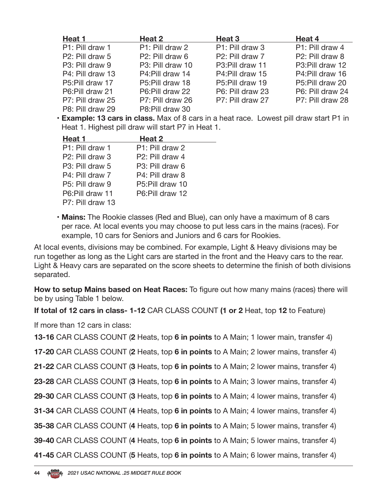| Heat 1           | Heat 2           | Heat <sub>3</sub> | Heat 4           |
|------------------|------------------|-------------------|------------------|
| P1: Pill draw 1  | P1: Pill draw 2  | P1: Pill draw 3   | P1: Pill draw 4  |
| P2: Pill draw 5  | P2: Pill draw 6  | P2: Pill draw 7   | P2: Pill draw 8  |
| P3: Pill draw 9  | P3: Pill draw 10 | P3:Pill draw 11   | P3:Pill draw 12  |
| P4: Pill draw 13 | P4: Pill draw 14 | P4: Pill draw 15  | P4: Pill draw 16 |
| P5:Pill draw 17  | P5: Pill draw 18 | P5:Pill draw 19   | P5:Pill draw 20  |
| P6:Pill draw 21  | P6:Pill draw 22  | P6: Pill draw 23  | P6: Pill draw 24 |
| P7: Pill draw 25 | P7: Pill draw 26 | P7: Pill draw 27  | P7: Pill draw 28 |
| P8: Pill draw 29 | P8:Pill draw 30  |                   |                  |

• **Example: 13 cars in class.** Max of 8 cars in a heat race. Lowest pill draw start P1 in Heat 1. Highest pill draw will start P7 in Heat 1.

| Heat 1                       | Heat 2                       |
|------------------------------|------------------------------|
| P1: Pill draw 1              | P1: Pill draw 2              |
| P <sub>2</sub> : Pill draw 3 | P <sub>2</sub> : Pill draw 4 |
| P3: Pill draw 5              | P3: Pill draw 6              |
| P4: Pill draw 7              | P4: Pill draw 8              |
| P5: Pill draw 9              | P5:Pill draw 10              |
| P6: Pill draw 11             | P6:Pill draw 12              |
| P7: Pill draw 13             |                              |

• **Mains:** The Rookie classes (Red and Blue), can only have a maximum of 8 cars per race. At local events you may choose to put less cars in the mains (races). For example, 10 cars for Seniors and Juniors and 6 cars for Rookies.

At local events, divisions may be combined. For example, Light & Heavy divisions may be run together as long as the Light cars are started in the front and the Heavy cars to the rear. Light & Heavy cars are separated on the score sheets to determine the finish of both divisions separated.

**How to setup Mains based on Heat Races:** To figure out how many mains (races) there will be by using Table 1 below.

**If total of 12 cars in class- 1-12** CAR CLASS COUNT **(1 or 2** Heat, top **12** to Feature)

If more than 12 cars in class:

**13-16** CAR CLASS COUNT (**2** Heats, top **6 in points** to A Main; 1 lower main, transfer 4)

**17-20** CAR CLASS COUNT (**2** Heats, top **6 in points** to A Main; 2 lower mains, transfer 4)

**21-22** CAR CLASS COUNT (**3** Heats, top **6 in points** to A Main; 2 lower mains, transfer 4)

**23-28** CAR CLASS COUNT (**3** Heats, top **6 in points** to A Main; 3 lower mains, transfer 4)

**29-30** CAR CLASS COUNT (**3** Heats, top **6 in points** to A Main; 4 lower mains, transfer 4)

**31-34** CAR CLASS COUNT (**4** Heats, top **6 in points** to A Main; 4 lower mains, transfer 4)

**35-38** CAR CLASS COUNT (**4** Heats, top **6 in points** to A Main; 5 lower mains, transfer 4)

**39-40** CAR CLASS COUNT (**4** Heats, top **6 in points** to A Main; 5 lower mains, transfer 4)

**41-45** CAR CLASS COUNT (**5** Heats, top **6 in points** to A Main; 6 lower mains, transfer 4)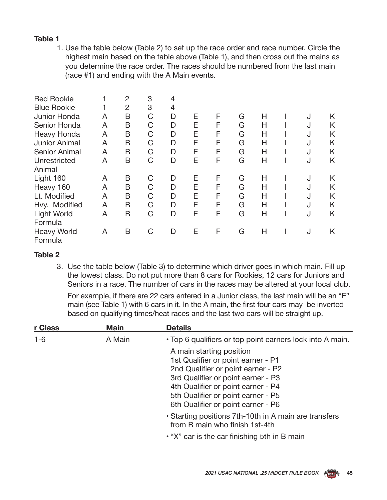### **Table 1**

1. Use the table below (Table 2) to set up the race order and race number. Circle the highest main based on the table above (Table 1), and then cross out the mains as you determine the race order. The races should be numbered from the last main (race #1) and ending with the A Main events.

| <b>Red Rookie</b><br><b>Blue Rookie</b><br>Junior Honda<br>Senior Honda<br>Heavy Honda<br>Junior Animal<br>Senior Animal<br>Unrestricted<br>Animal | A<br>A<br>A<br>A<br>A<br>A | 2<br>$\overline{2}$<br>B<br>B<br>B<br>B<br>B<br>B | 3<br>3<br>C<br>C<br>C<br>C<br>C<br>C | 4<br>4<br>D<br>D<br>D<br>D<br>D<br>D | Е<br>Е<br>E<br>Е<br>Е<br>Е | F<br>F<br>F<br>F<br>F<br>F | G<br>G<br>G<br>G<br>G<br>G | Н<br>Н<br>Н<br>Н<br>Н<br>Н | J<br>J<br>J<br>J<br>J<br>J | Κ<br>K<br>K<br>K<br>Κ<br>K |
|----------------------------------------------------------------------------------------------------------------------------------------------------|----------------------------|---------------------------------------------------|--------------------------------------|--------------------------------------|----------------------------|----------------------------|----------------------------|----------------------------|----------------------------|----------------------------|
| Light 160<br>Heavy 160<br>Lt. Modified<br>Hvy. Modified<br>Light World<br>Formula<br><b>Heavy World</b><br>Formula                                 | A<br>A<br>A<br>A<br>A<br>A | B<br>B<br>B<br>B<br>B<br>B                        | C<br>C<br>C<br>C<br>C<br>C           | D<br>D<br>D<br>D<br>D<br>D           | Ε<br>E<br>E<br>E<br>Е<br>Е | F<br>F<br>F<br>F<br>F<br>F | G<br>G<br>G<br>G<br>G<br>G | Н<br>Н<br>Н<br>Н<br>Н<br>Н | J<br>J<br>J<br>J<br>J<br>J | K<br>K<br>K<br>K<br>K<br>K |

### **Table 2**

3. Use the table below (Table 3) to determine which driver goes in which main. Fill up the lowest class. Do not put more than 8 cars for Rookies, 12 cars for Juniors and Seniors in a race. The number of cars in the races may be altered at your local club.

For example, if there are 22 cars entered in a Junior class, the last main will be an "E" main (see Table 1) with 6 cars in it. In the A main, the first four cars may be inverted based on qualifying times/heat races and the last two cars will be straight up.

| r Class | <b>Main</b> | <b>Details</b>                                                                                                                                                                                                                                               |
|---------|-------------|--------------------------------------------------------------------------------------------------------------------------------------------------------------------------------------------------------------------------------------------------------------|
| $1 - 6$ | A Main      | • Top 6 qualifiers or top point earners lock into A main.                                                                                                                                                                                                    |
|         |             | A main starting position<br>1st Qualifier or point earner - P1<br>2nd Qualifier or point earner - P2<br>3rd Qualifier or point earner - P3<br>4th Qualifier or point earner - P4<br>5th Qualifier or point earner - P5<br>6th Qualifier or point earner - P6 |
|         |             | • Starting positions 7th-10th in A main are transfers<br>from B main who finish 1st-4th                                                                                                                                                                      |
|         |             | • "X" car is the car finishing 5th in B main                                                                                                                                                                                                                 |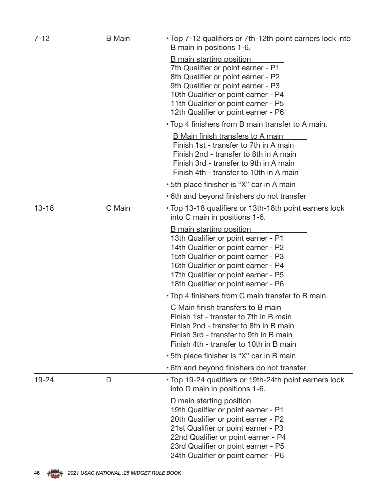| $7 - 12$  | <b>B</b> Main | • Top 7-12 qualifiers or 7th-12th point earners lock into<br>B main in positions 1-6.                                                                                                                                                                                     |
|-----------|---------------|---------------------------------------------------------------------------------------------------------------------------------------------------------------------------------------------------------------------------------------------------------------------------|
|           |               | <b>B</b> main starting position<br>7th Qualifier or point earner - P1<br>8th Qualifier or point earner - P2<br>9th Qualifier or point earner - P3<br>10th Qualifier or point earner - P4<br>11th Qualifier or point earner - P5<br>12th Qualifier or point earner - P6    |
|           |               | • Top 4 finishers from B main transfer to A main.                                                                                                                                                                                                                         |
|           |               | B Main finish transfers to A main<br>Finish 1st - transfer to 7th in A main<br>Finish 2nd - transfer to 8th in A main<br>Finish 3rd - transfer to 9th in A main<br>Finish 4th - transfer to 10th in A main                                                                |
|           |               | • 5th place finisher is "X" car in A main                                                                                                                                                                                                                                 |
|           |               | • 6th and beyond finishers do not transfer                                                                                                                                                                                                                                |
| $13 - 18$ | C Main        | • Top 13-18 qualifiers or 13th-18th point earners lock<br>into C main in positions 1-6.                                                                                                                                                                                   |
|           |               | <b>B</b> main starting position<br>13th Qualifier or point earner - P1<br>14th Qualifier or point earner - P2<br>15th Qualifier or point earner - P3<br>16th Qualifier or point earner - P4<br>17th Qualifier or point earner - P5<br>18th Qualifier or point earner - P6 |
|           |               | • Top 4 finishers from C main transfer to B main.                                                                                                                                                                                                                         |
|           |               | C Main finish transfers to B main<br>Finish 1st - transfer to 7th in B main<br>Finish 2nd - transfer to 8th in B main<br>Finish 3rd - transfer to 9th in B main<br>Finish 4th - transfer to 10th in B main                                                                |
|           |               | • 5th place finisher is "X" car in B main                                                                                                                                                                                                                                 |
|           |               | • 6th and beyond finishers do not transfer                                                                                                                                                                                                                                |
| $19 - 24$ | D             | • Top 19-24 qualifiers or 19th-24th point earners lock<br>into D main in positions 1-6.                                                                                                                                                                                   |
|           |               | D main starting position<br>19th Qualifier or point earner - P1<br>20th Qualifier or point earner - P2<br>21st Qualifier or point earner - P3<br>22nd Qualifier or point earner - P4<br>23rd Qualifier or point earner - P5<br>24th Qualifier or point earner - P6        |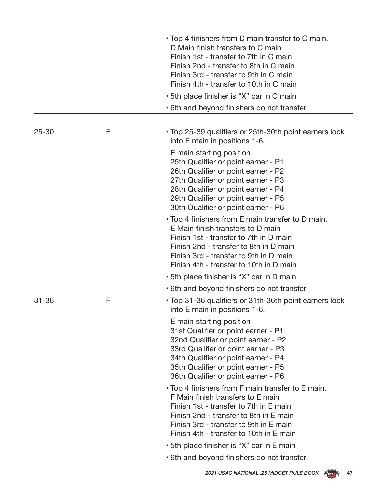|           |   | • Top 4 finishers from D main transfer to C main.<br>D Main finish transfers to C main<br>Finish 1st - transfer to 7th in C main<br>Finish 2nd - transfer to 8th in C main<br>Finish 3rd - transfer to 9th in C main<br>Finish 4th - transfer to 10th in C main<br>· 5th place finisher is "X" car in C main |
|-----------|---|--------------------------------------------------------------------------------------------------------------------------------------------------------------------------------------------------------------------------------------------------------------------------------------------------------------|
|           |   | • 6th and beyond finishers do not transfer                                                                                                                                                                                                                                                                   |
|           |   |                                                                                                                                                                                                                                                                                                              |
| $25 - 30$ | Е | • Top 25-39 qualifiers or 25th-30th point earners lock<br>into E main in positions 1-6.                                                                                                                                                                                                                      |
|           |   | E main starting position<br>25th Qualifier or point earner - P1<br>26th Qualifier or point earner - P2<br>27th Qualifier or point earner - P3<br>28th Qualifier or point earner - P4<br>29th Qualifier or point earner - P5<br>30th Qualifier or point earner - P6                                           |
|           |   | • Top 4 finishers from E main transfer to D main.<br>E Main finish transfers to D main<br>Finish 1st - transfer to 7th in D main<br>Finish 2nd - transfer to 8th in D main<br>Finish 3rd - transfer to 9th in D main<br>Finish 4th - transfer to 10th in D main                                              |
|           |   | • 5th place finisher is "X" car in D main                                                                                                                                                                                                                                                                    |
|           |   | • 6th and beyond finishers do not transfer                                                                                                                                                                                                                                                                   |
| $31 - 36$ | F | • Top 31-36 qualifiers or 31th-36th point earners lock<br>into E main in positions 1-6.                                                                                                                                                                                                                      |
|           |   | E main starting position<br>31st Qualifier or point earner - P1<br>32nd Qualifier or point earner - P2<br>33rd Qualifier or point earner - P3<br>34th Qualifier or point earner - P4<br>35th Qualifier or point earner - P5<br>36th Qualifier or point earner - P6                                           |
|           |   | • Top 4 finishers from F main transfer to E main.<br>F Main finish transfers to E main<br>Finish 1st - transfer to 7th in E main<br>Finish 2nd - transfer to 8th in E main<br>Finish 3rd - transfer to 9th in E main<br>Finish 4th - transfer to 10th in E main                                              |
|           |   | • 5th place finisher is "X" car in E main                                                                                                                                                                                                                                                                    |
|           |   | • 6th and beyond finishers do not transfer                                                                                                                                                                                                                                                                   |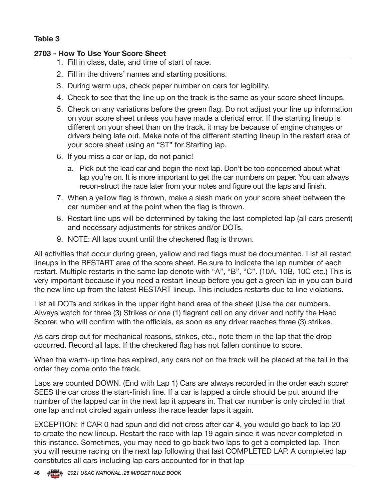### **Table 3**

### **2703 - How To Use Your Score Sheet**

- 1. Fill in class, date, and time of start of race.
- 2. Fill in the drivers' names and starting positions.
- 3. During warm ups, check paper number on cars for legibility.
- 4. Check to see that the line up on the track is the same as your score sheet lineups.
- 5. Check on any variations before the green flag. Do not adjust your line up information on your score sheet unless you have made a clerical error. If the starting lineup is different on your sheet than on the track, it may be because of engine changes or drivers being late out. Make note of the different starting lineup in the restart area of your score sheet using an "ST" for Starting lap.
- 6. If you miss a car or lap, do not panic!
	- a. Pick out the lead car and begin the next lap. Don't be too concerned about what lap you're on. It is more important to get the car numbers on paper. You can always recon-struct the race later from your notes and figure out the laps and finish.
- 7. When a yellow flag is thrown, make a slash mark on your score sheet between the car number and at the point when the flag is thrown.
- 8. Restart line ups will be determined by taking the last completed lap (all cars present) and necessary adjustments for strikes and/or DOTs.
- 9. NOTE: All laps count until the checkered flag is thrown.

All activities that occur during green, yellow and red flags must be documented. List all restart lineups in the RESTART area of the score sheet. Be sure to indicate the lap number of each restart. Multiple restarts in the same lap denote with "A", "B", "C". (10A, 10B, 10C etc.) This is very important because if you need a restart lineup before you get a green lap in you can build the new line up from the latest RESTART lineup. This includes restarts due to line violations.

List all DOTs and strikes in the upper right hand area of the sheet (Use the car numbers. Always watch for three (3) Strikes or one (1) flagrant call on any driver and notify the Head Scorer, who will confirm with the officials, as soon as any driver reaches three (3) strikes.

As cars drop out for mechanical reasons, strikes, etc., note them in the lap that the drop occurred. Record all laps. If the checkered flag has not fallen continue to score.

When the warm-up time has expired, any cars not on the track will be placed at the tail in the order they come onto the track.

Laps are counted DOWN. (End with Lap 1) Cars are always recorded in the order each scorer SEES the car cross the start-finish line. If a car is lapped a circle should be put around the number of the lapped car in the next lap it appears in. That car number is only circled in that one lap and not circled again unless the race leader laps it again.

EXCEPTION: If CAR 0 had spun and did not cross after car 4, you would go back to lap 20 to create the new lineup. Restart the race with lap 19 again since it was never completed in this instance. Sometimes, you may need to go back two laps to get a completed lap. Then you will resume racing on the next lap following that last COMPLETED LAP. A completed lap constitutes all cars including lap cars accounted for in that lap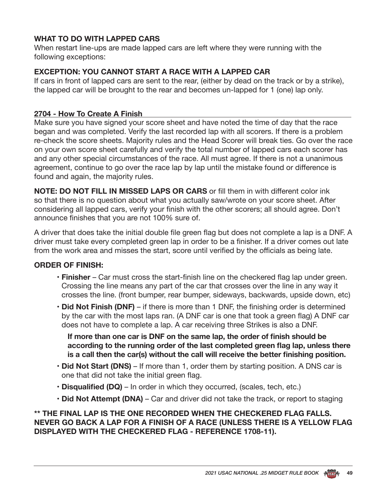### **WHAT TO DO WITH LAPPED CARS**

When restart line-ups are made lapped cars are left where they were running with the following exceptions:

### **EXCEPTION: YOU CANNOT START A RACE WITH A LAPPED CAR**

If cars in front of lapped cars are sent to the rear, (either by dead on the track or by a strike), the lapped car will be brought to the rear and becomes un-lapped for 1 (one) lap only.

### **2704 - How To Create A Finish**

Make sure you have signed your score sheet and have noted the time of day that the race began and was completed. Verify the last recorded lap with all scorers. If there is a problem re-check the score sheets. Majority rules and the Head Scorer will break ties. Go over the race on your own score sheet carefully and verify the total number of lapped cars each scorer has and any other special circumstances of the race. All must agree. If there is not a unanimous agreement, continue to go over the race lap by lap until the mistake found or difference is found and again, the majority rules.

**NOTE: DO NOT FILL IN MISSED LAPS OR CARS** or fill them in with different color ink so that there is no question about what you actually saw/wrote on your score sheet. After considering all lapped cars, verify your finish with the other scorers; all should agree. Don't announce finishes that you are not 100% sure of.

A driver that does take the initial double file green flag but does not complete a lap is a DNF. A driver must take every completed green lap in order to be a finisher. If a driver comes out late from the work area and misses the start, score until verified by the officials as being late.

#### **ORDER OF FINISH:**

- **Finisher** Car must cross the start-finish line on the checkered flag lap under green. Crossing the line means any part of the car that crosses over the line in any way it crosses the line. (front bumper, rear bumper, sideways, backwards, upside down, etc)
- **Did Not Finish (DNF)**  if there is more than 1 DNF, the finishing order is determined by the car with the most laps ran. (A DNF car is one that took a green flag) A DNF car does not have to complete a lap. A car receiving three Strikes is also a DNF.

**If more than one car is DNF on the same lap, the order of finish should be according to the running order of the last completed green flag lap, unless there is a call then the car(s) without the call will receive the better finishing position.**

- **Did Not Start (DNS)** If more than 1, order them by starting position. A DNS car is one that did not take the initial green flag.
- **Disqualified (DQ)**  In order in which they occurred, (scales, tech, etc.)
- **Did Not Attempt (DNA)**  Car and driver did not take the track, or report to staging

### **\*\* THE FINAL LAP IS THE ONE RECORDED WHEN THE CHECKERED FLAG FALLS. NEVER GO BACK A LAP FOR A FINISH OF A RACE (UNLESS THERE IS A YELLOW FLAG DISPLAYED WITH THE CHECKERED FLAG - REFERENCE 1708-11).**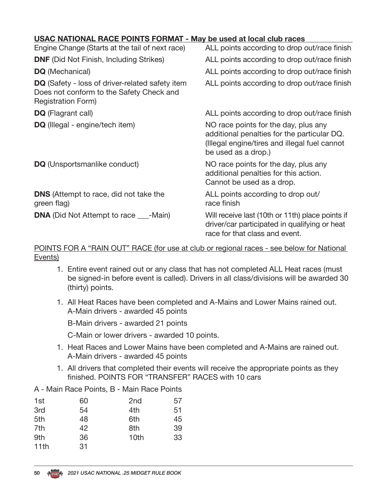| USAC NATIONAL RACE POINTS FORMAT - May be used at local club races |                                              |
|--------------------------------------------------------------------|----------------------------------------------|
| Engine Change (Starts at the tail of next race)                    | ALL points according to drop out/race finish |

| Light Change (Olarts at the tail Of Hext Tace)                                                                           | ALL points according to drop outrlace import                                                                                                                |
|--------------------------------------------------------------------------------------------------------------------------|-------------------------------------------------------------------------------------------------------------------------------------------------------------|
| <b>DNF</b> (Did Not Finish, Including Strikes)                                                                           | ALL points according to drop out/race finish                                                                                                                |
| <b>DQ</b> (Mechanical)                                                                                                   | ALL points according to drop out/race finish                                                                                                                |
| <b>DQ</b> (Safety - loss of driver-related safety item<br>Does not conform to the Safety Check and<br>Registration Form) | ALL points according to drop out/race finish                                                                                                                |
| <b>DQ</b> (Flagrant call)                                                                                                | ALL points according to drop out/race finish                                                                                                                |
| <b>DQ</b> (Illegal - engine/tech item)                                                                                   | NO race points for the day, plus any<br>additional penalties for the particular DQ.<br>(Illegal engine/tires and illegal fuel cannot<br>be used as a drop.) |
| <b>DQ</b> (Unsportsmanlike conduct)                                                                                      | NO race points for the day, plus any<br>additional penalties for this action.<br>Cannot be used as a drop.                                                  |
| <b>DNS</b> (Attempt to race, did not take the<br>green flag)                                                             | ALL points according to drop out/<br>race finish                                                                                                            |
| <b>DNA</b> (Did Not Attempt to race ___-Main)                                                                            | Will receive last (10th or 11th) place points if<br>driver/car participated in qualifying or heat<br>race for that class and event.                         |

### POINTS FOR A "RAIN OUT" RACE (for use at club or regional races - see below for National Events)

- 1. Entire event rained out or any class that has not completed ALL Heat races (must be signed-in before event is called). Drivers in all class/divisions will be awarded 30 (thirty) points.
- 1. All Heat Races have been completed and A-Mains and Lower Mains rained out. A-Main drivers - awarded 45 points

B-Main drivers - awarded 21 points

C-Main or lower drivers - awarded 10 points.

- 1. Heat Races and Lower Mains have been completed and A-Mains are rained out. A-Main drivers - awarded 45 points
- 1. All drivers that completed their events will receive the appropriate points as they finished. POINTS FOR "TRANSFER" RACES with 10 cars

| A - Main Race Points, B - Main Race Points |  |  |  |  |  |  |  |  |
|--------------------------------------------|--|--|--|--|--|--|--|--|
|--------------------------------------------|--|--|--|--|--|--|--|--|

| 1st  | 60 | 2 <sub>nd</sub> | 57 |
|------|----|-----------------|----|
| 3rd  | 54 | 4th             | 51 |
| 5th  | 48 | 6th             | 45 |
| 7th  | 42 | 8th             | 39 |
| 9th  | 36 | 10th            | 33 |
| 11th | 31 |                 |    |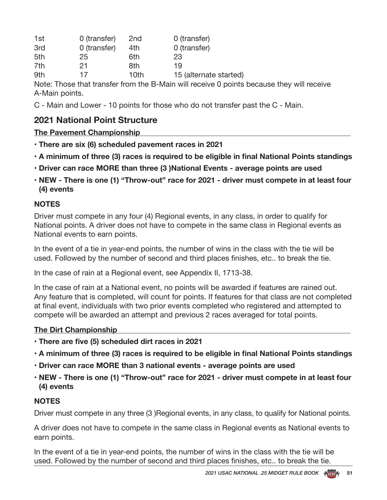| 1st | 0 (transfer) | 2 <sub>nd</sub> | 0 (transfer)           |
|-----|--------------|-----------------|------------------------|
| 3rd | 0 (transfer) | 4th             | 0 (transfer)           |
| 5th | 25           | 6th             | 23                     |
| 7th | 21           | 8th             | 19                     |
| 9th | 17           | 10th            | 15 (alternate started) |

Note: Those that transfer from the B-Main will receive 0 points because they will receive A-Main points.

C - Main and Lower - 10 points for those who do not transfer past the C - Main.

### **2021 National Point Structure**

### **The Pavement Championship**

- **There are six (6) scheduled pavement races in 2021**
- **A minimum of three (3) races is required to be eligible in final National Points standings**
- **Driver can race MORE than three (3 )National Events average points are used**
- **NEW There is one (1) "Throw-out" race for 2021 driver must compete in at least four (4) events**

### **NOTES**

Driver must compete in any four (4) Regional events, in any class, in order to qualify for National points. A driver does not have to compete in the same class in Regional events as National events to earn points.

In the event of a tie in year-end points, the number of wins in the class with the tie will be used. Followed by the number of second and third places finishes, etc.. to break the tie.

In the case of rain at a Regional event, see Appendix II, 1713-38.

In the case of rain at a National event, no points will be awarded if features are rained out. Any feature that is completed, will count for points. If features for that class are not completed at final event, individuals with two prior events completed who registered and attempted to compete will be awarded an attempt and previous 2 races averaged for total points.

### **The Dirt Championship**

- **There are five (5) scheduled dirt races in 2021**
- **A minimum of three (3) races is required to be eligible in final National Points standings**
- **Driver can race MORE than 3 national events average points are used**
- **NEW There is one (1) "Throw-out" race for 2021 driver must compete in at least four (4) events**

### **NOTES**

Driver must compete in any three (3) Regional events, in any class, to qualify for National points.

A driver does not have to compete in the same class in Regional events as National events to earn points.

In the event of a tie in year-end points, the number of wins in the class with the tie will be used. Followed by the number of second and third places finishes, etc.. to break the tie.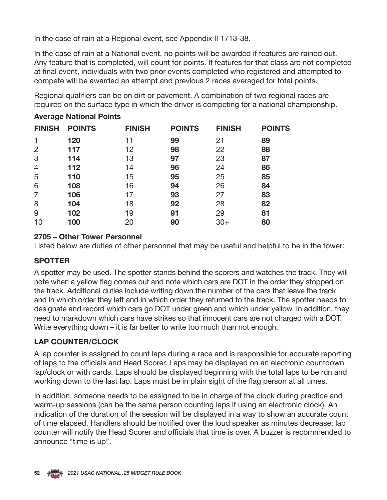In the case of rain at a Regional event, see Appendix II 1713-38.

In the case of rain at a National event, no points will be awarded if features are rained out. Any feature that is completed, will count for points. If features for that class are not completed at final event, individuals with two prior events completed who registered and attempted to compete will be awarded an attempt and previous 2 races averaged for total points.

Regional qualifiers can be on dirt or pavement. A combination of two regional races are required on the surface type in which the driver is competing for a national championship.

| <b>FINISH</b>  | <b>POINTS</b> | <b>FINISH</b> | <b>POINTS</b> | <b>FINISH</b> | <b>POINTS</b> |
|----------------|---------------|---------------|---------------|---------------|---------------|
| 1              | 120           | 11            | 99            | 21            | 89            |
| $\overline{2}$ | 117           | 12            | 98            | 22            | 88            |
| 3              | 114           | 13            | 97            | 23            | 87            |
| $\overline{4}$ | 112           | 14            | 96            | 24            | 86            |
| 5              | 110           | 15            | 95            | 25            | 85            |
| 6              | 108           | 16            | 94            | 26            | 84            |
| $\overline{7}$ | 106           | 17            | 93            | 27            | 83            |
| 8              | 104           | 18            | 92            | 28            | 82            |
| 9              | 102           | 19            | 91            | 29            | 81            |
| 10             | 100           | 20            | 90            | $30+$         | 80            |

### **Average National Points**

### **2705 – Other Tower Personnel**

Listed below are duties of other personnel that may be useful and helpful to be in the tower:

### **SPOTTER**

A spotter may be used. The spotter stands behind the scorers and watches the track. They will note when a yellow flag comes out and note which cars are DOT in the order they stopped on the track. Additional duties include writing down the number of the cars that leave the track and in which order they left and in which order they returned to the track. The spotter needs to designate and record which cars go DOT under green and which under yellow. In addition, they need to markdown which cars have strikes so that innocent cars are not charged with a DOT. Write everything down – it is far better to write too much than not enough.

### **LAP COUNTER/CLOCK**

A lap counter is assigned to count laps during a race and is responsible for accurate reporting of laps to the officials and Head Scorer. Laps may be displayed on an electronic countdown lap/clock or with cards. Laps should be displayed beginning with the total laps to be run and working down to the last lap. Laps must be in plain sight of the flag person at all times.

In addition, someone needs to be assigned to be in charge of the clock during practice and warm-up sessions (can be the same person counting laps if using an electronic clock). An indication of the duration of the session will be displayed in a way to show an accurate count of time elapsed. Handlers should be notified over the loud speaker as minutes decrease; lap counter will notify the Head Scorer and officials that time is over. A buzzer is recommended to announce "time is up".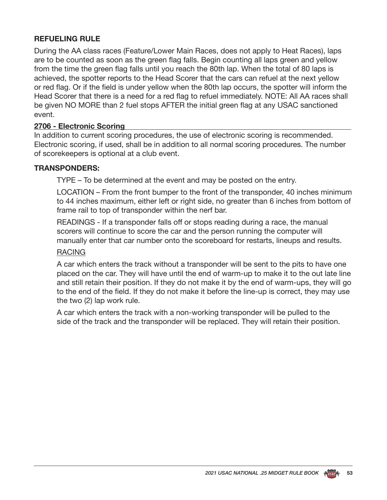### **REFUELING RULE**

During the AA class races (Feature/Lower Main Races, does not apply to Heat Races), laps are to be counted as soon as the green flag falls. Begin counting all laps green and yellow from the time the green flag falls until you reach the 80th lap. When the total of 80 laps is achieved, the spotter reports to the Head Scorer that the cars can refuel at the next yellow or red flag. Or if the field is under yellow when the 80th lap occurs, the spotter will inform the Head Scorer that there is a need for a red flag to refuel immediately. NOTE: All AA races shall be given NO MORE than 2 fuel stops AFTER the initial green flag at any USAC sanctioned event.

### **2706 - Electronic Scoring**

In addition to current scoring procedures, the use of electronic scoring is recommended. Electronic scoring, if used, shall be in addition to all normal scoring procedures. The number of scorekeepers is optional at a club event.

### **TRANSPONDERS:**

TYPE – To be determined at the event and may be posted on the entry.

LOCATION – From the front bumper to the front of the transponder, 40 inches minimum to 44 inches maximum, either left or right side, no greater than 6 inches from bottom of frame rail to top of transponder within the nerf bar.

READINGS - If a transponder falls off or stops reading during a race, the manual scorers will continue to score the car and the person running the computer will manually enter that car number onto the scoreboard for restarts, lineups and results.

#### RACING

A car which enters the track without a transponder will be sent to the pits to have one placed on the car. They will have until the end of warm-up to make it to the out late line and still retain their position. If they do not make it by the end of warm-ups, they will go to the end of the field. If they do not make it before the line-up is correct, they may use the two (2) lap work rule.

A car which enters the track with a non-working transponder will be pulled to the side of the track and the transponder will be replaced. They will retain their position.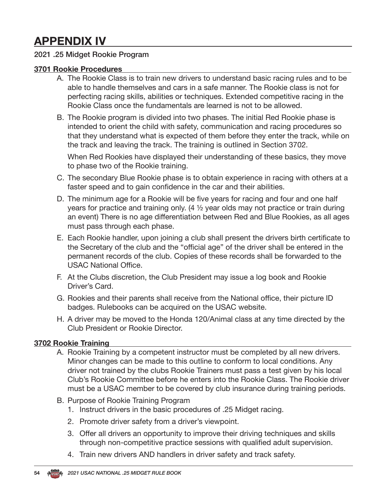## **APPENDIX IV**

### 2021 .25 Midget Rookie Program

### **3701 Rookie Procedures**

- A. The Rookie Class is to train new drivers to understand basic racing rules and to be able to handle themselves and cars in a safe manner. The Rookie class is not for perfecting racing skills, abilities or techniques. Extended competitive racing in the Rookie Class once the fundamentals are learned is not to be allowed.
- B. The Rookie program is divided into two phases. The initial Red Rookie phase is intended to orient the child with safety, communication and racing procedures so that they understand what is expected of them before they enter the track, while on the track and leaving the track. The training is outlined in Section 3702.

When Red Rookies have displayed their understanding of these basics, they move to phase two of the Rookie training.

- C. The secondary Blue Rookie phase is to obtain experience in racing with others at a faster speed and to gain confidence in the car and their abilities.
- D. The minimum age for a Rookie will be five years for racing and four and one half years for practice and training only. (4 ½ year olds may not practice or train during an event) There is no age differentiation between Red and Blue Rookies, as all ages must pass through each phase.
- E. Each Rookie handler, upon joining a club shall present the drivers birth certificate to the Secretary of the club and the "official age" of the driver shall be entered in the permanent records of the club. Copies of these records shall be forwarded to the USAC National Office.
- F. At the Clubs discretion, the Club President may issue a log book and Rookie Driver's Card.
- G. Rookies and their parents shall receive from the National office, their picture ID badges. Rulebooks can be acquired on the USAC website.
- H. A driver may be moved to the Honda 120/Animal class at any time directed by the Club President or Rookie Director.

### **3702 Rookie Training**

- A. Rookie Training by a competent instructor must be completed by all new drivers. Minor changes can be made to this outline to conform to local conditions. Any driver not trained by the clubs Rookie Trainers must pass a test given by his local Club's Rookie Committee before he enters into the Rookie Class. The Rookie driver must be a USAC member to be covered by club insurance during training periods.
- B. Purpose of Rookie Training Program
	- 1. Instruct drivers in the basic procedures of .25 Midget racing.
	- 2. Promote driver safety from a driver's viewpoint.
	- 3. Offer all drivers an opportunity to improve their driving techniques and skills through non-competitive practice sessions with qualified adult supervision.
	- 4. Train new drivers AND handlers in driver safety and track safety.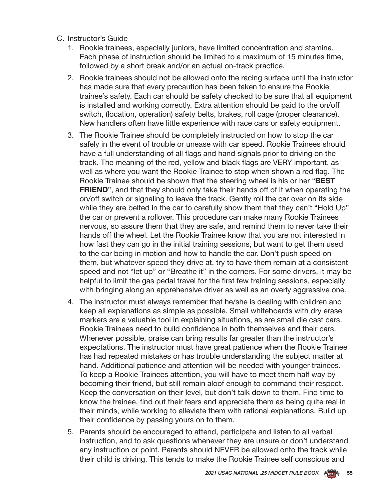- C. Instructor's Guide
	- 1. Rookie trainees, especially juniors, have limited concentration and stamina. Each phase of instruction should be limited to a maximum of 15 minutes time, followed by a short break and/or an actual on-track practice.
	- 2. Rookie trainees should not be allowed onto the racing surface until the instructor has made sure that every precaution has been taken to ensure the Rookie trainee's safety. Each car should be safety checked to be sure that all equipment is installed and working correctly. Extra attention should be paid to the on/off switch, (location, operation) safety belts, brakes, roll cage (proper clearance). New handlers often have little experience with race cars or safety equipment.
	- 3. The Rookie Trainee should be completely instructed on how to stop the car safely in the event of trouble or unease with car speed. Rookie Trainees should have a full understanding of all flags and hand signals prior to driving on the track. The meaning of the red, yellow and black flags are VERY important, as well as where you want the Rookie Trainee to stop when shown a red flag. The Rookie Trainee should be shown that the steering wheel is his or her "**BEST FRIEND**", and that they should only take their hands off of it when operating the on/off switch or signaling to leave the track. Gently roll the car over on its side while they are belted in the car to carefully show them that they can't "Hold Up" the car or prevent a rollover. This procedure can make many Rookie Trainees nervous, so assure them that they are safe, and remind them to never take their hands off the wheel. Let the Rookie Trainee know that you are not interested in how fast they can go in the initial training sessions, but want to get them used to the car being in motion and how to handle the car. Don't push speed on them, but whatever speed they drive at, try to have them remain at a consistent speed and not "let up" or "Breathe it" in the corners. For some drivers, it may be helpful to limit the gas pedal travel for the first few training sessions, especially with bringing along an apprehensive driver as well as an overly aggressive one.
	- 4. The instructor must always remember that he/she is dealing with children and keep all explanations as simple as possible. Small whiteboards with dry erase markers are a valuable tool in explaining situations, as are small die cast cars. Rookie Trainees need to build confidence in both themselves and their cars. Whenever possible, praise can bring results far greater than the instructor's expectations. The instructor must have great patience when the Rookie Trainee has had repeated mistakes or has trouble understanding the subject matter at hand. Additional patience and attention will be needed with younger trainees. To keep a Rookie Trainees attention, you will have to meet them half way by becoming their friend, but still remain aloof enough to command their respect. Keep the conversation on their level, but don't talk down to them. Find time to know the trainee, find out their fears and appreciate them as being quite real in their minds, while working to alleviate them with rational explanations. Build up their confidence by passing yours on to them.
	- 5. Parents should be encouraged to attend, participate and listen to all verbal instruction, and to ask questions whenever they are unsure or don't understand any instruction or point. Parents should NEVER be allowed onto the track while their child is driving. This tends to make the Rookie Trainee self conscious and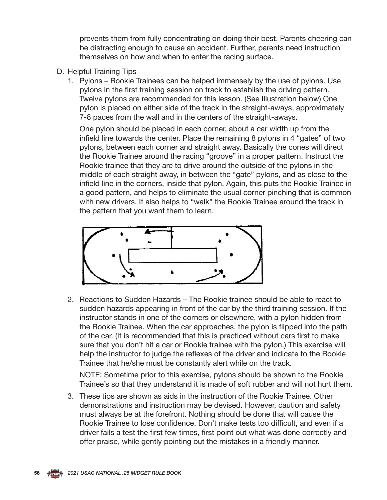prevents them from fully concentrating on doing their best. Parents cheering can be distracting enough to cause an accident. Further, parents need instruction themselves on how and when to enter the racing surface.

- D. Helpful Training Tips
	- 1. Pylons Rookie Trainees can be helped immensely by the use of pylons. Use pylons in the first training session on track to establish the driving pattern. Twelve pylons are recommended for this lesson. (See Illustration below) One pylon is placed on either side of the track in the straight-aways, approximately 7-8 paces from the wall and in the centers of the straight-aways.

One pylon should be placed in each corner, about a car width up from the infield line towards the center. Place the remaining 8 pylons in 4 "gates" of two pylons, between each corner and straight away. Basically the cones will direct the Rookie Trainee around the racing "groove" in a proper pattern. Instruct the Rookie trainee that they are to drive around the outside of the pylons in the middle of each straight away, in between the "gate" pylons, and as close to the infield line in the corners, inside that pylon. Again, this puts the Rookie Trainee in a good pattern, and helps to eliminate the usual corner pinching that is common with new drivers. It also helps to "walk" the Rookie Trainee around the track in the pattern that you want them to learn.



2. Reactions to Sudden Hazards – The Rookie trainee should be able to react to sudden hazards appearing in front of the car by the third training session. If the instructor stands in one of the corners or elsewhere, with a pylon hidden from the Rookie Trainee. When the car approaches, the pylon is flipped into the path of the car. (It is recommended that this is practiced without cars first to make sure that you don't hit a car or Rookie trainee with the pylon.) This exercise will help the instructor to judge the reflexes of the driver and indicate to the Rookie Trainee that he/she must be constantly alert while on the track.

NOTE: Sometime prior to this exercise, pylons should be shown to the Rookie Trainee's so that they understand it is made of soft rubber and will not hurt them.

3. These tips are shown as aids in the instruction of the Rookie Trainee. Other demonstrations and instruction may be devised. However, caution and safety must always be at the forefront. Nothing should be done that will cause the Rookie Trainee to lose confidence. Don't make tests too difficult, and even if a driver fails a test the first few times, first point out what was done correctly and offer praise, while gently pointing out the mistakes in a friendly manner.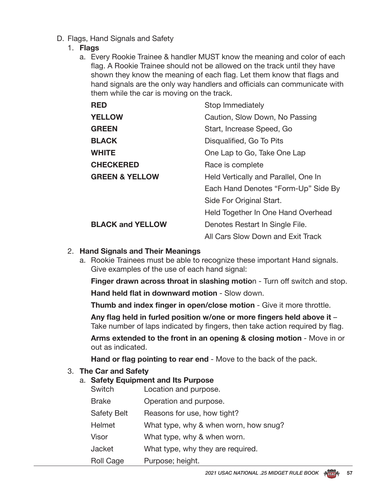D. Flags, Hand Signals and Safety

#### 1. **Flags**

a. Every Rookie Trainee & handler MUST know the meaning and color of each flag. A Rookie Trainee should not be allowed on the track until they have shown they know the meaning of each flag. Let them know that flags and hand signals are the only way handlers and officials can communicate with them while the car is moving on the track.

| <b>RED</b>                | Stop Immediately                     |
|---------------------------|--------------------------------------|
| <b>YELLOW</b>             | Caution, Slow Down, No Passing       |
| <b>GREEN</b>              | Start, Increase Speed, Go            |
| <b>BLACK</b>              | Disqualified, Go To Pits             |
| <b>WHITE</b>              | One Lap to Go, Take One Lap          |
| <b>CHECKERED</b>          | Race is complete                     |
| <b>GREEN &amp; YELLOW</b> | Held Vertically and Parallel, One In |
|                           | Each Hand Denotes "Form-Up" Side By  |
|                           | Side For Original Start.             |
|                           | Held Together In One Hand Overhead   |
| <b>BLACK and YELLOW</b>   | Denotes Restart In Single File.      |
|                           | All Cars Slow Down and Exit Track    |

#### 2. **Hand Signals and Their Meanings**

a. Rookie Trainees must be able to recognize these important Hand signals. Give examples of the use of each hand signal:

**Finger drawn across throat in slashing motion - Turn off switch and stop.** 

**Hand held flat in downward motion - Slow down.** 

**Thumb and index finger in open/close motion** - Give it more throttle.

**Any flag held in furled position w/one or more fingers held above it** – Take number of laps indicated by fingers, then take action required by flag.

 **Arms extended to the front in an opening & closing motion** - Move in or out as indicated.

**Hand or flag pointing to rear end** - Move to the back of the pack.

#### 3. **The Car and Safety**

### a. **Safety Equipment and Its Purpose**

| Switch             | Location and purpose.                 |
|--------------------|---------------------------------------|
| <b>Brake</b>       | Operation and purpose.                |
| <b>Safety Belt</b> | Reasons for use, how tight?           |
| Helmet             | What type, why & when worn, how snug? |
| Visor              | What type, why & when worn.           |
| Jacket             | What type, why they are required.     |
| <b>Roll Cage</b>   | Purpose; height.                      |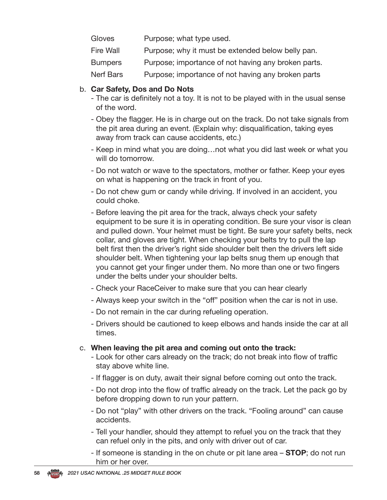- Gloves Purpose; what type used.
- Fire Wall Purpose; why it must be extended below belly pan.
- Bumpers Purpose; importance of not having any broken parts.
- Nerf Bars Purpose; importance of not having any broken parts

### b. **Car Safety, Dos and Do Nots**

- The car is definitely not a toy. It is not to be played with in the usual sense of the word.
- Obey the flagger. He is in charge out on the track. Do not take signals from the pit area during an event. (Explain why: disqualification, taking eyes away from track can cause accidents, etc.)
- Keep in mind what you are doing…not what you did last week or what you will do tomorrow.
- Do not watch or wave to the spectators, mother or father. Keep your eyes on what is happening on the track in front of you.
- Do not chew gum or candy while driving. If involved in an accident, you could choke.
- Before leaving the pit area for the track, always check your safety equipment to be sure it is in operating condition. Be sure your visor is clean and pulled down. Your helmet must be tight. Be sure your safety belts, neck collar, and gloves are tight. When checking your belts try to pull the lap belt first then the driver's right side shoulder belt then the drivers left side shoulder belt. When tightening your lap belts snug them up enough that you cannot get your finger under them. No more than one or two fingers under the belts under your shoulder belts.
- Check your RaceCeiver to make sure that you can hear clearly
- Always keep your switch in the "off" position when the car is not in use.
- Do not remain in the car during refueling operation.
- Drivers should be cautioned to keep elbows and hands inside the car at all times.
- c. **When leaving the pit area and coming out onto the track:**
	- Look for other cars already on the track; do not break into flow of traffic stay above white line.
	- If flagger is on duty, await their signal before coming out onto the track.
	- Do not drop into the flow of traffic already on the track. Let the pack go by before dropping down to run your pattern.
	- Do not "play" with other drivers on the track. "Fooling around" can cause accidents.
	- Tell your handler, should they attempt to refuel you on the track that they can refuel only in the pits, and only with driver out of car.
	- If someone is standing in the on chute or pit lane area **STOP**; do not run him or her over.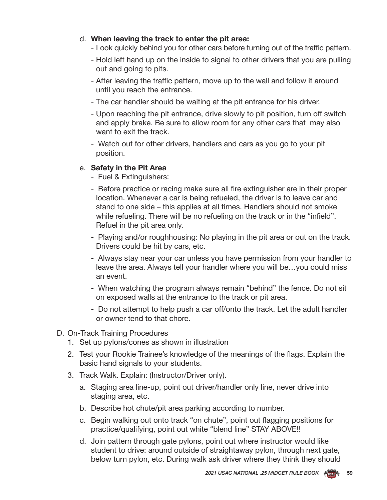- d. **When leaving the track to enter the pit area:**
	- Look quickly behind you for other cars before turning out of the traffic pattern.
	- Hold left hand up on the inside to signal to other drivers that you are pulling out and going to pits.
	- After leaving the traffic pattern, move up to the wall and follow it around until you reach the entrance.
	- The car handler should be waiting at the pit entrance for his driver.
	- Upon reaching the pit entrance, drive slowly to pit position, turn off switch and apply brake. Be sure to allow room for any other cars that may also want to exit the track.
	- Watch out for other drivers, handlers and cars as you go to your pit position.

### e. **Safety in the Pit Area**

- Fuel & Extinguishers:
- Before practice or racing make sure all fire extinguisher are in their proper location. Whenever a car is being refueled, the driver is to leave car and stand to one side – this applies at all times. Handlers should not smoke while refueling. There will be no refueling on the track or in the "infield". Refuel in the pit area only.
- Playing and/or roughhousing: No playing in the pit area or out on the track. Drivers could be hit by cars, etc.
- Always stay near your car unless you have permission from your handler to leave the area. Always tell your handler where you will be…you could miss an event.
- When watching the program always remain "behind" the fence. Do not sit on exposed walls at the entrance to the track or pit area.
- Do not attempt to help push a car off/onto the track. Let the adult handler or owner tend to that chore.
- D. On-Track Training Procedures
	- 1. Set up pylons/cones as shown in illustration
	- 2. Test your Rookie Trainee's knowledge of the meanings of the flags. Explain the basic hand signals to your students.
	- 3. Track Walk. Explain: (Instructor/Driver only).
		- a. Staging area line-up, point out driver/handler only line, never drive into staging area, etc.
		- b. Describe hot chute/pit area parking according to number.
		- c. Begin walking out onto track "on chute", point out flagging positions for practice/qualifying, point out white "blend line" STAY ABOVE!!
		- d. Join pattern through gate pylons, point out where instructor would like student to drive: around outside of straightaway pylon, through next gate, below turn pylon, etc. During walk ask driver where they think they should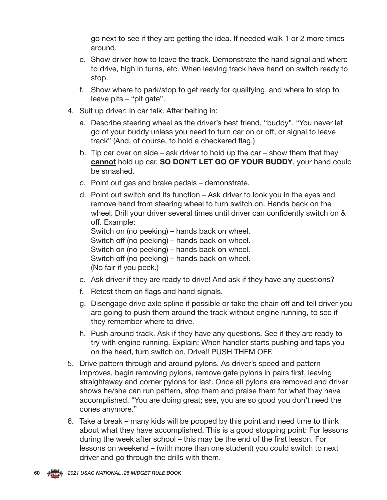go next to see if they are getting the idea. If needed walk 1 or 2 more times around.

- e. Show driver how to leave the track. Demonstrate the hand signal and where to drive, high in turns, etc. When leaving track have hand on switch ready to stop.
- f. Show where to park/stop to get ready for qualifying, and where to stop to leave pits – "pit gate".
- 4. Suit up driver: In car talk. After belting in:
	- a. Describe steering wheel as the driver's best friend, "buddy". "You never let go of your buddy unless you need to turn car on or off, or signal to leave track" (And, of course, to hold a checkered flag.)
	- b. Tip car over on side ask driver to hold up the car show them that they **cannot** hold up car, **SO DON'T LET GO OF YOUR BUDDY**, your hand could be smashed.
	- c. Point out gas and brake pedals demonstrate.
	- d. Point out switch and its function Ask driver to look you in the eyes and remove hand from steering wheel to turn switch on. Hands back on the wheel. Drill your driver several times until driver can confidently switch on & off. Example: Switch on (no peeking) – hands back on wheel. Switch off (no peeking) – hands back on wheel. Switch on (no peeking) – hands back on wheel. Switch off (no peeking) – hands back on wheel.
	- (No fair if you peek.)
	- e. Ask driver if they are ready to drive! And ask if they have any questions?
	- f. Retest them on flags and hand signals.
	- g. Disengage drive axle spline if possible or take the chain off and tell driver you are going to push them around the track without engine running, to see if they remember where to drive.
	- h. Push around track. Ask if they have any questions. See if they are ready to try with engine running. Explain: When handler starts pushing and taps you on the head, turn switch on, Drive!! PUSH THEM OFF.
- 5. Drive pattern through and around pylons. As driver's speed and pattern improves, begin removing pylons, remove gate pylons in pairs first, leaving straightaway and corner pylons for last. Once all pylons are removed and driver shows he/she can run pattern, stop them and praise them for what they have accomplished. "You are doing great; see, you are so good you don't need the cones anymore."
- 6. Take a break many kids will be pooped by this point and need time to think about what they have accomplished. This is a good stopping point: For lessons during the week after school – this may be the end of the first lesson. For lessons on weekend – (with more than one student) you could switch to next driver and go through the drills with them.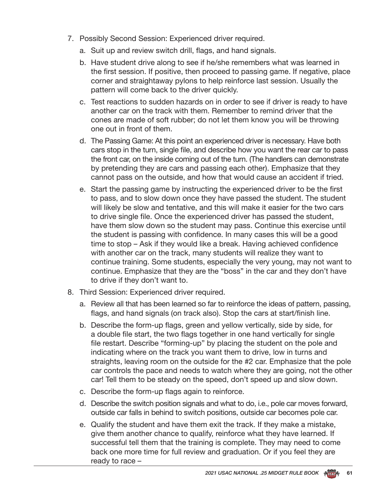- 7. Possibly Second Session: Experienced driver required.
	- a. Suit up and review switch drill, flags, and hand signals.
	- b. Have student drive along to see if he/she remembers what was learned in the first session. If positive, then proceed to passing game. If negative, place corner and straightaway pylons to help reinforce last session. Usually the pattern will come back to the driver quickly.
	- c. Test reactions to sudden hazards on in order to see if driver is ready to have another car on the track with them. Remember to remind driver that the cones are made of soft rubber; do not let them know you will be throwing one out in front of them.
	- d. The Passing Game: At this point an experienced driver is necessary. Have both cars stop in the turn, single file, and describe how you want the rear car to pass the front car, on the inside coming out of the turn. (The handlers can demonstrate by pretending they are cars and passing each other). Emphasize that they cannot pass on the outside, and how that would cause an accident if tried.
	- e. Start the passing game by instructing the experienced driver to be the first to pass, and to slow down once they have passed the student. The student will likely be slow and tentative, and this will make it easier for the two cars to drive single file. Once the experienced driver has passed the student, have them slow down so the student may pass. Continue this exercise until the student is passing with confidence. In many cases this will be a good time to stop – Ask if they would like a break. Having achieved confidence with another car on the track, many students will realize they want to continue training. Some students, especially the very young, may not want to continue. Emphasize that they are the "boss" in the car and they don't have to drive if they don't want to.
- 8. Third Session: Experienced driver required.
	- a. Review all that has been learned so far to reinforce the ideas of pattern, passing, flags, and hand signals (on track also). Stop the cars at start/finish line.
	- b. Describe the form-up flags, green and yellow vertically, side by side, for a double file start, the two flags together in one hand vertically for single file restart. Describe "forming-up" by placing the student on the pole and indicating where on the track you want them to drive, low in turns and straights, leaving room on the outside for the #2 car. Emphasize that the pole car controls the pace and needs to watch where they are going, not the other car! Tell them to be steady on the speed, don't speed up and slow down.
	- c. Describe the form-up flags again to reinforce.
	- d. Describe the switch position signals and what to do, i.e., pole car moves forward, outside car falls in behind to switch positions, outside car becomes pole car.
	- e. Qualify the student and have them exit the track. If they make a mistake, give them another chance to qualify, reinforce what they have learned. If successful tell them that the training is complete. They may need to come back one more time for full review and graduation. Or if you feel they are ready to race –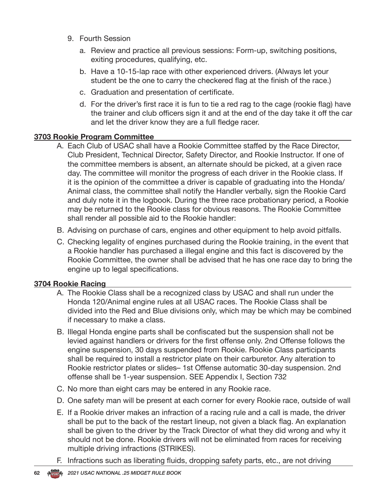- 9. Fourth Session
	- a. Review and practice all previous sessions: Form-up, switching positions, exiting procedures, qualifying, etc.
	- b. Have a 10-15-lap race with other experienced drivers. (Always let your student be the one to carry the checkered flag at the finish of the race.)
	- c. Graduation and presentation of certificate.
	- d. For the driver's first race it is fun to tie a red rag to the cage (rookie flag) have the trainer and club officers sign it and at the end of the day take it off the car and let the driver know they are a full fledge racer.

### **3703 Rookie Program Committee**

- A. Each Club of USAC shall have a Rookie Committee staffed by the Race Director, Club President, Technical Director, Safety Director, and Rookie Instructor. If one of the committee members is absent, an alternate should be picked, at a given race day. The committee will monitor the progress of each driver in the Rookie class. If it is the opinion of the committee a driver is capable of graduating into the Honda/ Animal class, the committee shall notify the Handler verbally, sign the Rookie Card and duly note it in the logbook. During the three race probationary period, a Rookie may be returned to the Rookie class for obvious reasons. The Rookie Committee shall render all possible aid to the Rookie handler:
- B. Advising on purchase of cars, engines and other equipment to help avoid pitfalls.
- C. Checking legality of engines purchased during the Rookie training, in the event that a Rookie handler has purchased a illegal engine and this fact is discovered by the Rookie Committee, the owner shall be advised that he has one race day to bring the engine up to legal specifications.

#### **3704 Rookie Racing**

- A. The Rookie Class shall be a recognized class by USAC and shall run under the Honda 120/Animal engine rules at all USAC races. The Rookie Class shall be divided into the Red and Blue divisions only, which may be which may be combined if necessary to make a class.
- B. Illegal Honda engine parts shall be confiscated but the suspension shall not be levied against handlers or drivers for the first offense only. 2nd Offense follows the engine suspension, 30 days suspended from Rookie. Rookie Class participants shall be required to install a restrictor plate on their carburetor. Any alteration to Rookie restrictor plates or slides– 1st Offense automatic 30-day suspension. 2nd offense shall be 1-year suspension. SEE Appendix I, Section 732
- C. No more than eight cars may be entered in any Rookie race.
- D. One safety man will be present at each corner for every Rookie race, outside of wall
- E. If a Rookie driver makes an infraction of a racing rule and a call is made, the driver shall be put to the back of the restart lineup, not given a black flag. An explanation shall be given to the driver by the Track Director of what they did wrong and why it should not be done. Rookie drivers will not be eliminated from races for receiving multiple driving infractions (STRIKES).
- F. Infractions such as liberating fluids, dropping safety parts, etc., are not driving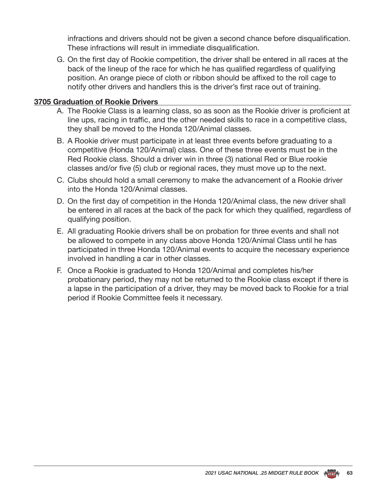infractions and drivers should not be given a second chance before disqualification. These infractions will result in immediate disqualification.

G. On the first day of Rookie competition, the driver shall be entered in all races at the back of the lineup of the race for which he has qualified regardless of qualifying position. An orange piece of cloth or ribbon should be affixed to the roll cage to notify other drivers and handlers this is the driver's first race out of training.

### **3705 Graduation of Rookie Drivers**

- A. The Rookie Class is a learning class, so as soon as the Rookie driver is proficient at line ups, racing in traffic, and the other needed skills to race in a competitive class, they shall be moved to the Honda 120/Animal classes.
- B. A Rookie driver must participate in at least three events before graduating to a competitive (Honda 120/Animal) class. One of these three events must be in the Red Rookie class. Should a driver win in three (3) national Red or Blue rookie classes and/or five (5) club or regional races, they must move up to the next.
- C. Clubs should hold a small ceremony to make the advancement of a Rookie driver into the Honda 120/Animal classes.
- D. On the first day of competition in the Honda 120/Animal class, the new driver shall be entered in all races at the back of the pack for which they qualified, regardless of qualifying position.
- E. All graduating Rookie drivers shall be on probation for three events and shall not be allowed to compete in any class above Honda 120/Animal Class until he has participated in three Honda 120/Animal events to acquire the necessary experience involved in handling a car in other classes.
- F. Once a Rookie is graduated to Honda 120/Animal and completes his/her probationary period, they may not be returned to the Rookie class except if there is a lapse in the participation of a driver, they may be moved back to Rookie for a trial period if Rookie Committee feels it necessary.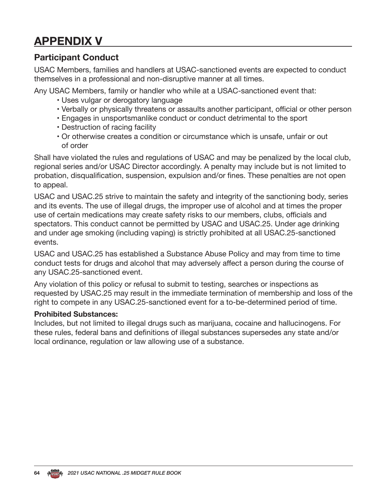## **APPENDIX V**

### **Participant Conduct**

USAC Members, families and handlers at USAC-sanctioned events are expected to conduct themselves in a professional and non-disruptive manner at all times.

Any USAC Members, family or handler who while at a USAC-sanctioned event that:

- Uses vulgar or derogatory language
- Verbally or physically threatens or assaults another participant, official or other person
- Engages in unsportsmanlike conduct or conduct detrimental to the sport
- Destruction of racing facility
- Or otherwise creates a condition or circumstance which is unsafe, unfair or out of order

Shall have violated the rules and regulations of USAC and may be penalized by the local club, regional series and/or USAC Director accordingly. A penalty may include but is not limited to probation, disqualification, suspension, expulsion and/or fines. These penalties are not open to appeal.

USAC and USAC.25 strive to maintain the safety and integrity of the sanctioning body, series and its events. The use of illegal drugs, the improper use of alcohol and at times the proper use of certain medications may create safety risks to our members, clubs, officials and spectators. This conduct cannot be permitted by USAC and USAC.25. Under age drinking and under age smoking (including vaping) is strictly prohibited at all USAC.25-sanctioned events.

USAC and USAC.25 has established a Substance Abuse Policy and may from time to time conduct tests for drugs and alcohol that may adversely affect a person during the course of any USAC.25-sanctioned event.

Any violation of this policy or refusal to submit to testing, searches or inspections as requested by USAC.25 may result in the immediate termination of membership and loss of the right to compete in any USAC.25-sanctioned event for a to-be-determined period of time.

#### **Prohibited Substances:**

Includes, but not limited to illegal drugs such as marijuana, cocaine and hallucinogens. For these rules, federal bans and definitions of illegal substances supersedes any state and/or local ordinance, regulation or law allowing use of a substance.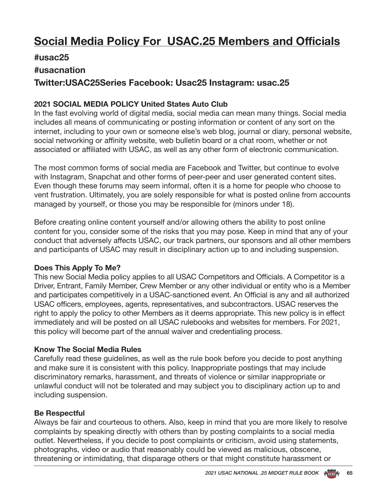## **Social Media Policy For USAC.25 Members and Officials**

### **#usac25**

### **#usacnation**

### **Twitter:USAC25Series Facebook: Usac25 Instagram: usac.25**

### **2021 SOCIAL MEDIA POLICY United States Auto Club**

In the fast evolving world of digital media, social media can mean many things. Social media includes all means of communicating or posting information or content of any sort on the internet, including to your own or someone else's web blog, journal or diary, personal website, social networking or affinity website, web bulletin board or a chat room, whether or not associated or affiliated with USAC, as well as any other form of electronic communication.

The most common forms of social media are Facebook and Twitter, but continue to evolve with Instagram, Snapchat and other forms of peer-peer and user generated content sites. Even though these forums may seem informal, often it is a home for people who choose to vent frustration. Ultimately, you are solely responsible for what is posted online from accounts managed by yourself, or those you may be responsible for (minors under 18).

Before creating online content yourself and/or allowing others the ability to post online content for you, consider some of the risks that you may pose. Keep in mind that any of your conduct that adversely affects USAC, our track partners, our sponsors and all other members and participants of USAC may result in disciplinary action up to and including suspension.

### **Does This Apply To Me?**

This new Social Media policy applies to all USAC Competitors and Officials. A Competitor is a Driver, Entrant, Family Member, Crew Member or any other individual or entity who is a Member and participates competitively in a USAC-sanctioned event. An Official is any and all authorized USAC officers, employees, agents, representatives, and subcontractors. USAC reserves the right to apply the policy to other Members as it deems appropriate. This new policy is in effect immediately and will be posted on all USAC rulebooks and websites for members. For 2021, this policy will become part of the annual waiver and credentialing process.

#### **Know The Social Media Rules**

Carefully read these guidelines, as well as the rule book before you decide to post anything and make sure it is consistent with this policy. Inappropriate postings that may include discriminatory remarks, harassment, and threats of violence or similar inappropriate or unlawful conduct will not be tolerated and may subject you to disciplinary action up to and including suspension.

### **Be Respectful**

Always be fair and courteous to others. Also, keep in mind that you are more likely to resolve complaints by speaking directly with others than by posting complaints to a social media outlet. Nevertheless, if you decide to post complaints or criticism, avoid using statements, photographs, video or audio that reasonably could be viewed as malicious, obscene, threatening or intimidating, that disparage others or that might constitute harassment or